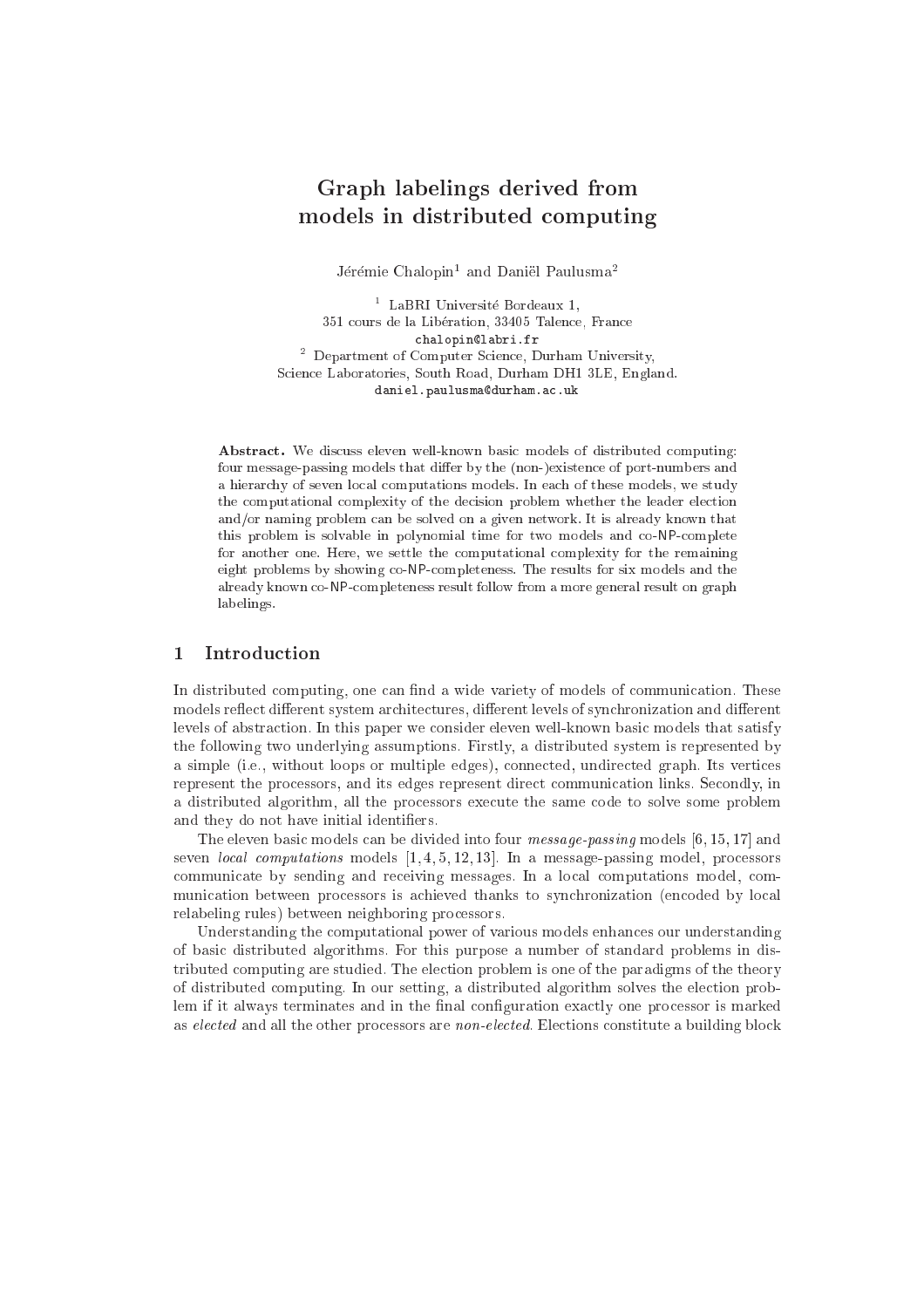# Graph labelings derived from models in distribution and the construction of the construction of the construction of the construction of the

Jerenne Chalophi – and Daniel Paulusma

<sup>1</sup> LaBRI Universite Bordeaux 1, 351 cours de la Libération, 33405 Talence, France chalopin@labri.fr <sup>2</sup> Department of Computer S
ien
e, Durham University, S
ien
e Laboratories, South Road, Durham DH1 3LE, England. daniel.paulusma@durham.ac.uk

Abstract. We discuss eleven well-known basic models of distributed computing: four message-passing models that differ by the (non-)existence of port-numbers and a hierar
hy of seven lo
al omputations models. In ea
h of these models, we study the computational complexity of the decision problem whether the leader election and/or naming problem can be solved on a given network. It is already known that this problem is solvable in polynomial time for two models and co-NP-complete for another one. Here, we settle the omputational omplexity for the remaining eight problems by showing o-NPompleteness. The results for six models and the already known o-NPompleteness result follow from a more general result on graph labelings.

#### $\mathbf{1}$ **Introduction**

In distributed computing, one can find a wide variety of models of communication. These models reflect different system architectures, different levels of synchronization and different levels of abstra
tion. In this paper we onsider eleven well-known basi models that satisfy the following two underlying assumptions. Firstly, a distributed system is represented by a simple (i.e., without loops or multiple edges), onne
ted, undire
ted graph. Its verti
es represent the processors, and its edges represent direct communication links. Secondly, in a distributed algorithm, all the pro
essors exe
ute the same ode to solve some problem and they do not have initial identiers.

The eleven basic models can be divided into four *message-passing* models  $[6, 15, 17]$  and seven *local computations* models  $[1, 4, 5, 12, 13]$ . In a message-passing model, processors communicate by sending and receiving messages. In a local computations model, communication between processors is achieved thanks to synchronization (encoded by local relabeling rules) between neighboring pro
essors.

Understanding the omputational power of various models enhan
es our understanding of basi distributed algorithms. For this purpose a number of standard problems in distributed computing are studied. The election problem is one of the paradigms of the theory of distributed omputing. In our setting, a distributed algorithm solves the ele
tion problem if it always terminates and in the final configuration exactly one processor is marked as elected and all the other processors are *non-elected*. Elections constitute a building block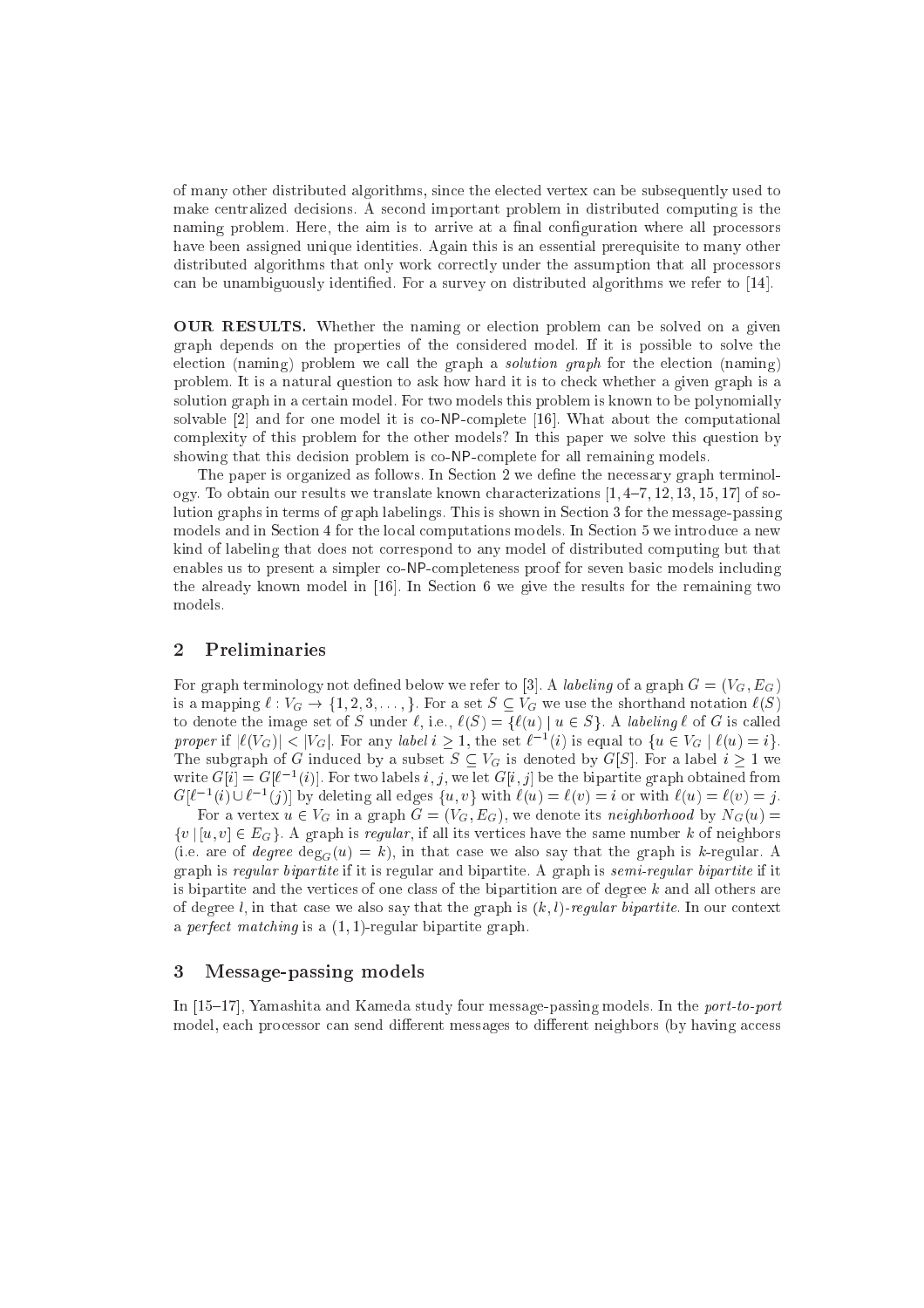of many other distributed algorithms, sin
e the ele
ted vertex an be subsequently used to make entralized de
isions. A se
ond important problem in distributed omputing is the naming problem. Here, the aim is to arrive at a final configuration where all processors have been assigned unique identities. Again this is an essential prerequisite to many other distributed algorithms that only work correctly under the assumption that all processors can be unambiguously identified. For a survey on distributed algorithms we refer to  $[14]$ .

**OUR RESULTS.** Whether the naming or election problem can be solved on a given graph depends on the properties of the onsidered model. If it is possible to solve the election (naming) problem we call the graph a *solution graph* for the election (naming) problem. It is a natural question to ask how hard it is to check whether a given graph is a solution graph in a ertain model. For two models this problem is known to be polynomially solvable  $[2]$  and for one model it is co-NP-complete  $[16]$ . What about the computational omplexity of this problem for the other models? In this paper we solve this question by showing that this decision problem is co-NP-complete for all remaining models.

The paper is organized as follows. In Section 2 we define the necessary graph terminology. To obtain our results we translate known characterizations  $[1, 4-7, 12, 13, 15, 17]$  of solution graphs in terms of graph labelings. This is shown in Section 3 for the message-passing models and in Section 4 for the local computations models. In Section 5 we introduce a new kind of labeling that does not orrespond to any model of distributed omputing but that enables us to present a simpler co-NP-completeness proof for seven basic models including the already known model in  $[16]$ . In Section 6 we give the results for the remaining two models.

#### 2 Preliminaries

For graph terminology not defined below we refer to [3]. A *labeling* of a graph  $G = (V_G, E_G)$ is a mapping  $\ell : V_G \to \{1, 2, 3, \ldots\}$ . For a set  $S \subseteq V_G$  we use the shorthand notation  $\ell(S)$ to denote the image set of S under  $\ell$ , i.e.,  $\ell(S) = \{ \ell(u) \mid u \in S \}$ . A labeling  $\ell$  of G is called proper if  $|\ell|(VG)| \leq |VG|$ . For any label  $i \geq 1$ , the set  $\ell^{-1}(i)$  is equal to  $\{u \in VG \mid \ell(u) = i\}$ . The subgraph of G induced by a subset  $S \subseteq V_G$  is denoted by  $G[S]$ . For a label  $i \geq 1$  we write  $G[i] \equiv G[\ell - [i]$ . For two labels  $i, j$ , we let  $G[i, j]$  be the bipartite graph obtained from  $G[\ell - (i) \cup \ell - (j)]$  by defecting all edges  $\{u, v\}$  with  $\ell(u) = \ell(v) = i$  or with  $\ell(u) = \ell(v) = j$ .

For a vertex  $u \in V_G$  in a graph  $G = (V_G, E_G)$ , we denote its neighborhood by  $N_G(u)$ fusion is regular to the same is regular, if all its vertical regular communications in the same number  $\sim$ (i.e. are of degree  $\deg_G(u) = k$ ), in that case we also say that the graph is k-regular. A graph is regular bipartite if it is regular and bipartite. A graph is semi-regular bipartite if it is bipartite and the vertices of one class of the bipartition are of degree  $k$  and all others are of degree  $l$ , in that case we also say that the graph is  $(k, l)$ -regular bipartite. In our context a *perfect matching* is a  $(1, 1)$ -regular bipartite graph.

#### 3 Message-passing models

In  $[15–17]$ , Yamashita and Kameda study four message-passing models. In the *port-to-port* model, each processor can send different messages to different neighbors (by having access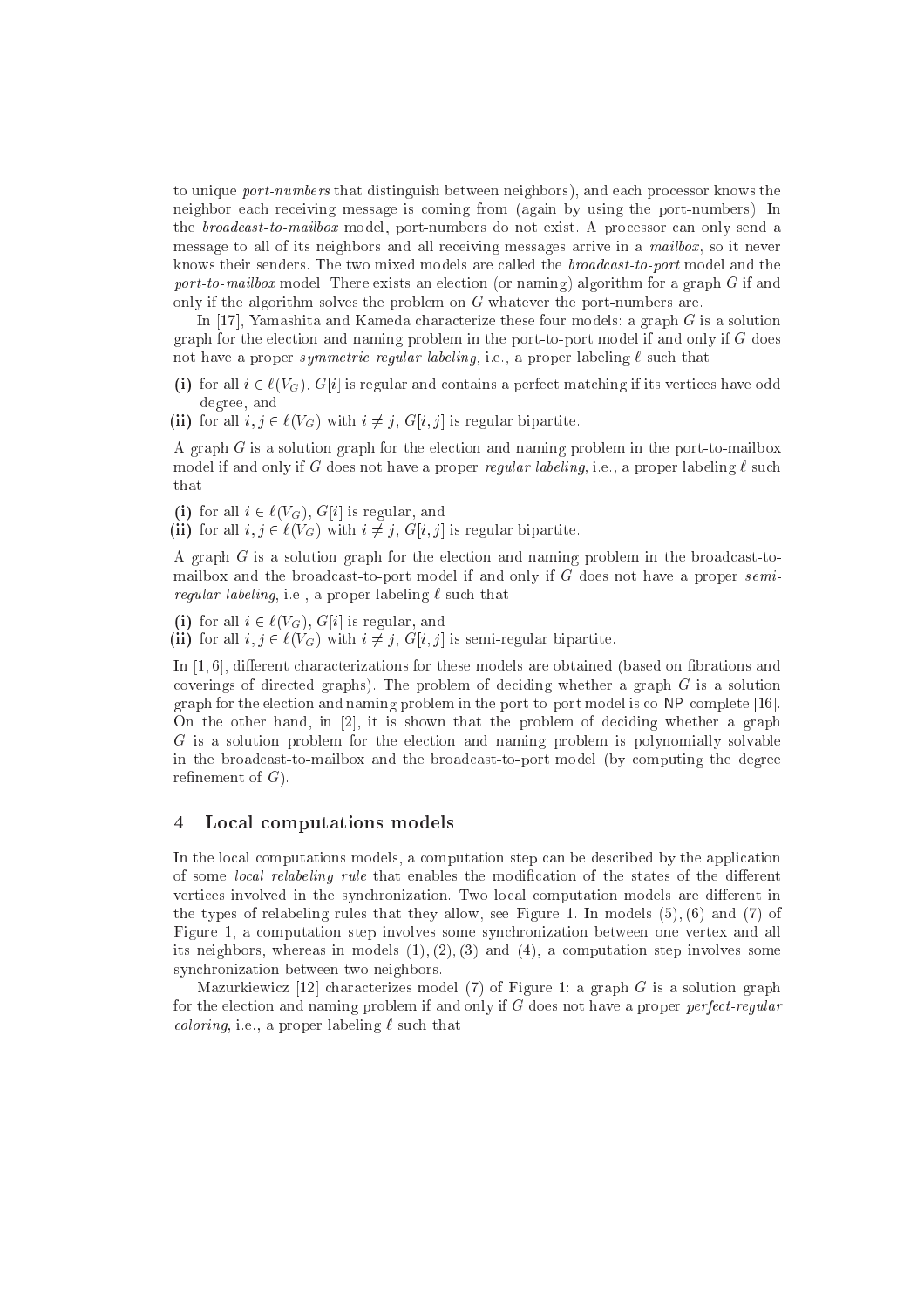to unique *port-numbers* that distinguish between neighbors), and each processor knows the neighbor ea
h re
eiving message is oming from (again by using the port-numbers). In the broadcast-to-mailbox model, port-numbers do not exist. A processor can only send a message to all of its neighbors and all receiving messages arrive in a mailbox, so it never knows their senders. The two mixed models are called the *broadcast-to-port* model and the port-to-mailbox model. There exists an ele
tion (or naming) algorithm for a graph <sup>G</sup> if and only if the algorithm solves the problem on  $G$  whatever the port-numbers are.

In [17], Yamashita and Kameda characterize these four models: a graph  $G$  is a solution graph for the election and naming problem in the port-to-port model if and only if  $G$  does not have a proper symmetric regular labeling, i.e., a proper labeling  $\ell$  such that

- (i) for all  $i \in \ell(V_G)$ ,  $G[i]$  is regular and contains a perfect matching if its vertices have odd degree, and
- (ii) for all  $i, j \in \ell(V_G)$  with  $i \neq j$ ,  $G[i, j]$  is regular bipartite.

A graph <sup>G</sup> is a solution graph for the ele
tion and naming problem in the port-to-mailbox model if and only if G does not have a proper regular labeling, i.e., a proper labeling  $\ell$  such that

(i) for all  $i \in \ell(V_G)$ ,  $G[i]$  is regular, and

(ii) for all  $i, j \in \ell(V_G)$  with  $i \neq j$ ,  $G[i, j]$  is regular bipartite.

A graph <sup>G</sup> is a solution graph for the ele
tion and naming problem in the broad
ast-tomailbox and the broadcast-to-port model if and only if G does not have a proper semiregular labeling, i.e., a proper labeling in the proper labeling in the substitution of the substitution of th

- (i) for all  $i \in \ell(V_G)$ ,  $G[i]$  is regular, and
- (ii) for all  $i, j \in \ell(V_G)$  with  $i \neq j$ ,  $G[i, j]$  is semi-regular bipartite.

In  $[1, 6]$ , different characterizations for these models are obtained (based on fibrations and coverings of directed graphs). The problem of deciding whether a graph  $G$  is a solution graph for the election and naming problem in the port-to-port model is co-NP-complete [16]. On the other hand, in  $[2]$ , it is shown that the problem of deciding whether a graph G is a solution problem for the ele
tion and naming problem is polynomially solvable in the broad
ast-to-mailbox and the broad
ast-to-port model (by omputing the degree refinement of  $G$ ).

#### 4 Lo
al omputations models

In the local computations models, a computation step can be described by the application of some *local relabeling rule* that enables the modification of the states of the different vertices involved in the synchronization. Two local computation models are different in the types of relabeling rules that they allow, see Figure 1. In models (5); (6) and (7) of Figure 1, a omputation step involves some syn
hronization between one vertex and all its neighbors, whereas in models  $(1), (2), (3)$  and  $(4),$  a computation step involves some syn
hronization between two neighbors.

Mazurkiewicz [12] characterizes model (7) of Figure 1: a graph  $G$  is a solution graph for the election and naming problem if and only if  $G$  does not have a proper *perfect-regular coloring*, i.e., a proper labeling  $\ell$  such that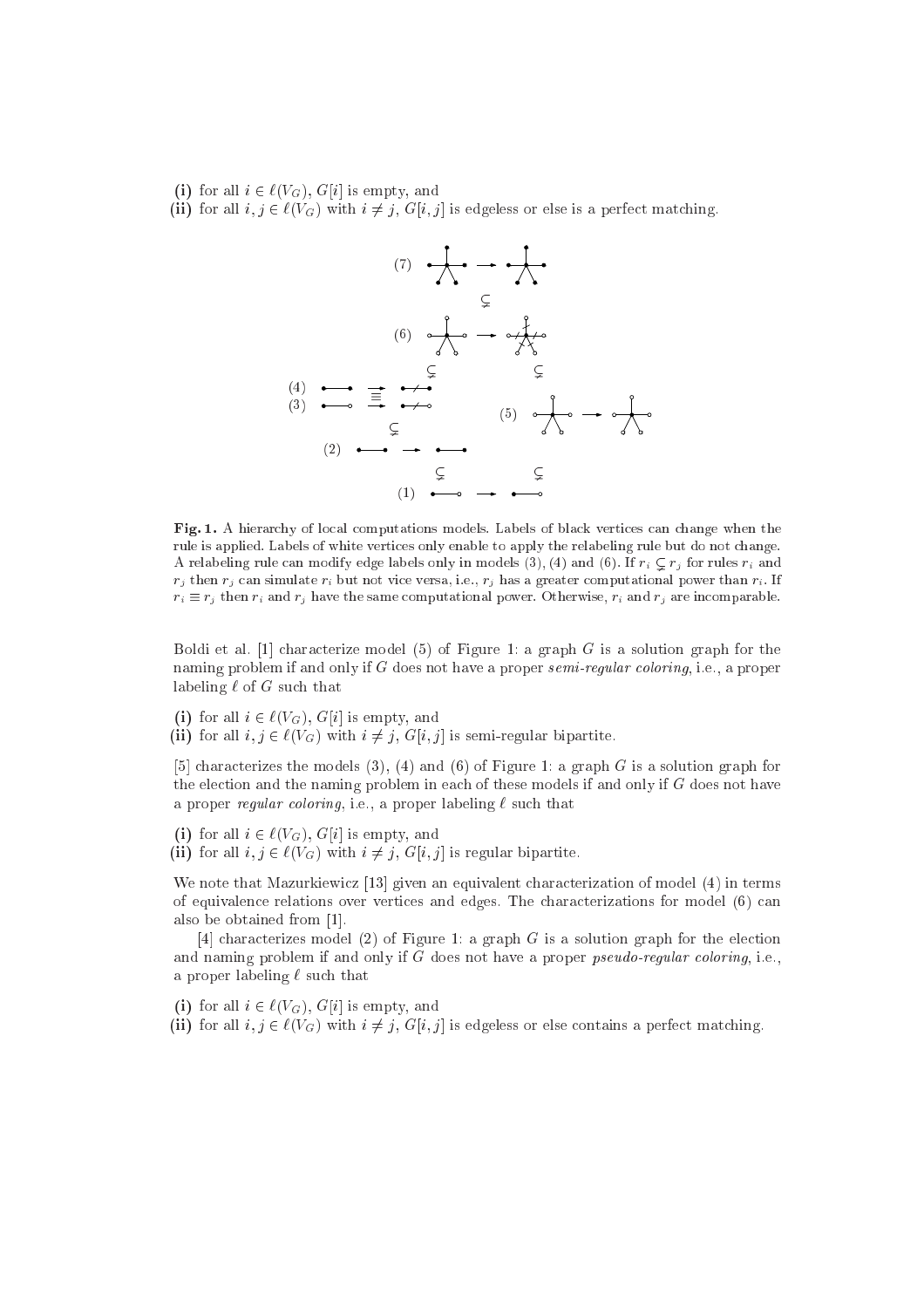- (i) for all  $i \in \ell(V_G)$ ,  $G[i]$  is empty, and
- (ii) for all  $i, j \in \ell(V_G)$  with  $i \neq j$ ,  $G[i, j]$  is edgeless or else is a perfect matching.



Fig. 1. A hierarchy of local computations models. Labels of black vertices can change when the rule is applied. Labels of white verti
es only enable to apply the relabeling rule but do not hange. A relabeling rule can modify edge labels only in models (3), (4) and (6). If  $r_i \nsubseteq r_j$  for rules  $r_i$  and  $r_j$  then  $r_j$  can simulate  $r_i$  but not vice versa, i.e.,  $r_j$  has a greater computational power than  $r_i$ . If  $r_i \equiv r_j$  then  $r_i$  and  $r_j$  have the same computational power. Otherwise,  $r_i$  and  $r_j$  are incomparable.

Boldi et al. [1] characterize model (5) of Figure 1: a graph  $G$  is a solution graph for the naming problem if and only if  $G$  does not have a proper semi-regular coloring, i.e., a proper labeling  $\ell$  of G such that

- (i) for all  $i \in \ell(V_G)$ ,  $G[i]$  is empty, and
- (ii) for all  $i, j \in \ell(V_G)$  with  $i \neq j$ ,  $G[i, j]$  is semi-regular bipartite.

[5] characterizes the models (3), (4) and (6) of Figure 1: a graph G is a solution graph for the election and the naming problem in each of these models if and only if G does not have a proper regular coloring, i.e., a proper labeling  $\ell$  such that

- (i) for all  $i \in \ell(V_G)$ ,  $G[i]$  is empty, and
- (ii) for all  $i, j \in \ell(V_G)$  with  $i \neq j$ ,  $G[i, j]$  is regular bipartite.

We note that Mazurkiewicz  $[13]$  given an equivalent characterization of model  $(4)$  in terms of equivalen
e relations over verti
es and edges. The hara
terizations for model (6) an also be obtained from [1].

[4] characterizes model (2) of Figure 1: a graph  $G$  is a solution graph for the election and naming problem if and only if  $G$  does not have a proper *pseudo-regular coloring*, i.e., a proper labeling  $\ell$  such that

(i) for all  $i \in \ell(V_G)$ , G[i] is empty, and

(ii) for all  $i, j \in \ell(V_G)$  with  $i \neq j$ ,  $G[i, j]$  is edgeless or else contains a perfect matching.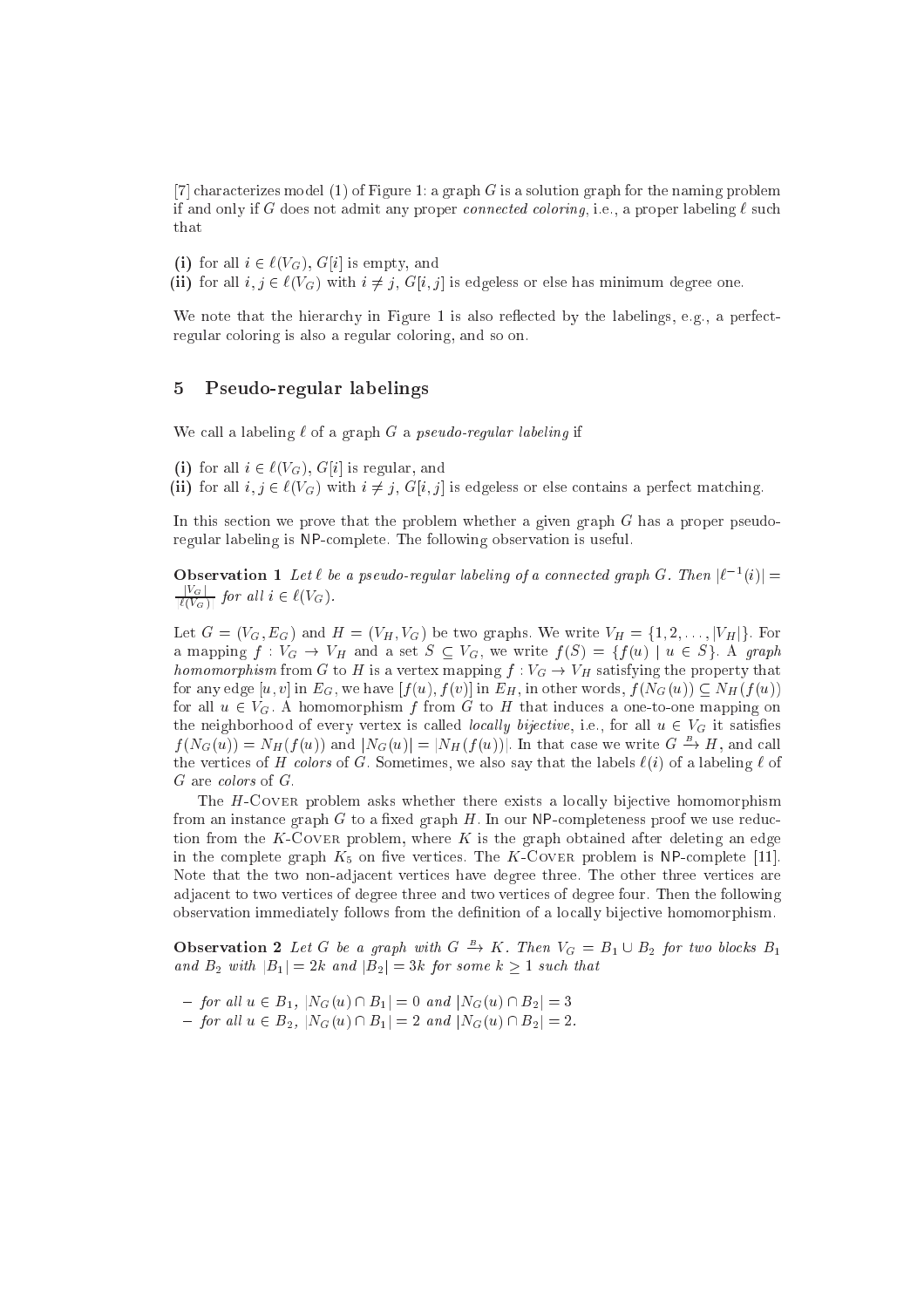[7] characterizes model (1) of Figure 1: a graph G is a solution graph for the naming problem if and only if G does not admit any proper *connected coloring*, i.e., a proper labeling  $\ell$  such that

(i) for all  $i \in \ell(V_G)$ ,  $G[i]$  is empty, and

(ii) for all  $i, j \in \ell(V_G)$  with  $i \neq j$ ,  $G[i, j]$  is edgeless or else has minimum degree one.

We note that the hierarchy in Figure 1 is also reflected by the labelings, e.g., a perfectregular oloring is also a regular oloring, and so on.

#### $\overline{5}$ 5 Pseudo-regular labelings

We call a labeling  $\ell$  of a graph G a pseudo-regular labeling if

(i) for all  $i \in \ell(V_G)$ ,  $G[i]$  is regular, and

(ii) for all  $i, j \in \ell(V_G)$  with  $i \neq j$ ,  $G[i, j]$  is edgeless or else contains a perfect matching.

In this section we prove that the problem whether a given graph  $G$  has a proper pseudoregular labeling is NPomplete. The following observation is useful.

**Observation 1** Let  $\ell$  be a pseudo-requiar idoeding of a connected graph  $G$ . Then  $|\ell - \ell| =$ jVGj  $|\ell(V_G)|$  is an equivalent  $\ell(V_G)$ .

Let  $G = (V_G, E_G)$  and  $H = (V_H, V_G)$  be two graphs. We write  $V_H = \{1, 2, \ldots, |V_H|\}$ . For a mapping  $f: V_G \to V_H$  and a set  $S \subseteq V_G$ , we write  $f(S) = \{f(u) \mid u \in S\}$ . A graph homomorphism from G to H is a vertex mapping f  $\alpha$  . VG  $\alpha$  , VG  $\alpha$  is a vertex map f  $\alpha$  is a vertex for any edge  $[u, v]$  in  $E_G$ , we have  $[f(u), f(v)]$  in  $E_H$ , in other words,  $f(N_G(u)) \subseteq N_H(f(u))$ for all  $u \in V_G$ . A homomorphism f from G to H that induces a one-to-one mapping on the neighborhood of every vertex is called *locally bijective*, i.e., for all  $u \in V_G$  it satisfies  $f(N_G(u)) = N_H(f(u))$  and  $N_G(u) = N_H(f(u))$ . In that case we write  $G \to H$ , and call the vertices of H colors of G. Sometimes, we also say that the labels  $\ell(i)$  of a labeling  $\ell$  of

The H-COVER problem asks whether there exists a locally bijective homomorphism from an instance graph  $G$  to a fixed graph  $H$ . In our NP-completeness proof we use reduction from the K-COVER problem, where  $K$  is the graph obtained after deleting an edge in the complete graph  $K_5$  on five vertices. The K-COVER problem is NP-complete [11]. Note that the two non-adja
ent verti
es have degree three. The other three verti
es are adja
ent to two verti
es of degree three and two verti
es of degree four. Then the following observation immediately follows from the definition of a locally bijective homomorphism.

**Observation 2** Let G be a graph with  $G \rightarrow K$ . Then  $V_G = B_1 \cup B_2$  for two blocks  $B_1$ and B2 with jB1j  $\,$  B2 with jB2j  $\,$  3k  $\,$  jP1 some k  $\,$  some known

 ${f}$  for all  $u \in B_1$ ,  $|N_G(u) \cap B_1| = 0$  and  $|N_G(u) \cap B_2| = 3$  ${f}$  for all  $u \in B_2$ ,  $|N_G(u) \cap B_1| = 2$  and  $|N_G(u) \cap B_2| = 2$ .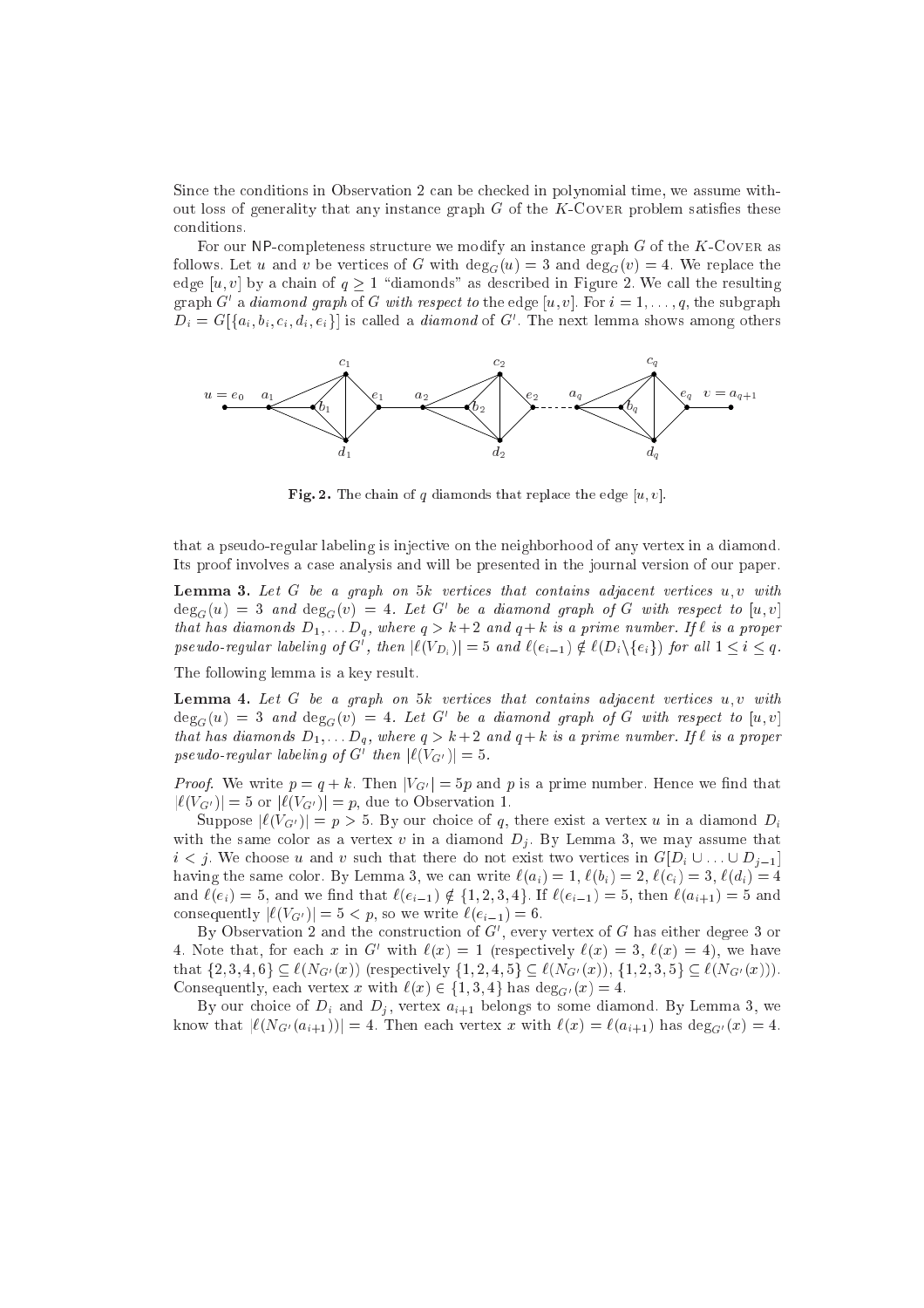Since the conditions in Observation 2 can be checked in polynomial time, we assume without loss of generality that any instance graph  $G$  of the  $K$ -Covers problem satisfies these onditions.

For our NP-completeness structure we modify an instance graph  $G$  of the K-COVER as follows. Let u and v be vertices of G with  $deg_G(u) = 3$  and  $deg_G(v) = 4$ . We replace the edge [u, v] by a chain of  $q \ge 1$  "diamonds" as described in Figure 2. We call the resulting graph G a *diamond graph* of G with respect to the edge  $[u, v]$ . For  $i = 1, \ldots, q$ , the subgraph  $D_i = G[\{u_i, v_i, c_i, u_i, e_i\}]$  is called a *diamond* of G  $\Box$  The next lemma shows among others



Fig. 2. The chain of q diamonds that replace the edge  $[u, v]$ .

that a pseudo-regular labeling is inje
tive on the neighborhood of any vertex in a diamond. Its proof involves a ase analysis and will be presented in the journal version of our paper.

**Lemma 3.** Let  $G$  be a graph on  $5k$  vertices that contains adjacent vertices  $u, v$  with  $\deg_G(u) = \mathcal{S}$  and  $\deg_G(v) = 4$ . Let  $G$  be a diamond graph of G with respect to  $[u, v]$ that has diamonds D1; : : : Dq , where <sup>q</sup> <sup>&</sup>gt; <sup>k</sup> + 2 and <sup>q</sup> <sup>+</sup> <sup>k</sup> is <sup>a</sup> prime number. If ` is <sup>a</sup> proper pseudo-regular labeling by G , then  $|\ell(V_{D_i})| = 3$  and  $\ell(e_{i-1}) \notin \ell(D_i \setminus \{e_i\})$  for all  $1 \leq i \leq q$ .

The following lemma is a key result.

**Lemma 4.** Let  $G$  be a graph on  $5k$  vertices that contains adjacent vertices  $u, v$  with  $\deg_G(u) = \mathcal{S}$  and  $\deg_G(v) = 4$ . Let  $G$  be a diamond graph of G with respect to  $[u, v]$ that has diamonds D1; : : : Dq , where <sup>q</sup> <sup>&</sup>gt; <sup>k</sup> + 2 and <sup>q</sup> <sup>+</sup> <sup>k</sup> is <sup>a</sup> prime number. If ` is <sup>a</sup> proper  $pseudo-regular$  tabeling of G  $|W(G)| = 5$ .

Proof. We write p = q + k. Prime  $M_1$  = 5p and p is a prime number. Hence we mind that  $|\ell(V_{G'})| = 5$  or  $|\ell(V_{G'})| = p$ , due to Observation 1.

Suppose  $|\ell(V_{G'})| = p > 5$ . By our choice of q, there exist a vertex u in a diamond  $D_i$ with the same color as a vertex v in a diamond  $D_j$ . By Lemma 3, we may assume that is in the there do not exist the sum of the sum of the sum of the section and  $\omega$   $\equiv$   $\mu$   $\equiv$   $\mu$ having the same color. By Lemma 3, we can write  $\ell(a_i) = 1, \ell(b_i) = 2, \ell(c_i) = 3, \ell(d_i) = 4$ and  $\ell(e_i) = 5$ , and we find that  $\ell(e_{i-1}) \notin \{1, 2, 3, 4\}$ . If  $\ell(e_{i-1}) = 5$ , then  $\ell(a_{i+1}) = 5$  and consequently  $|\ell(V_{G'})| = 5 < p$ , so we write  $\ell(e_{i-1}) = 6$ .

 $\overline{\rm D}$ y Observation 2 and the construction of G , every vertex of G has either degree  $\overline{\rm D}$  or 4. Note that, for each x in G with  $\ell(x) = 1$  (respectively  $\ell(x) = 3$ ,  $\ell(x) = 4$ ), we have that  $\{2, 3, 4, 6\} \subseteq \ell(N_{G'}(x))$  (respectively  $\{1, 2, 4, 5\} \subseteq \ell(N_{G'}(x)), \{1, 2, 3, 5\} \subseteq \ell(N_{G'}(x))$ ). Consequently, each vertex x with  $\ell(x) \in \{1, 3, 4\}$  has  $\deg_{G'}(x) = 4$ .

By our choice of  $D_i$  and  $D_j$ , vertex  $a_{i+1}$  belongs to some diamond. By Lemma 3, we know that  $|\ell(N_{G'}(a_{i+1}))| = 4$ . Then each vertex x with  $\ell(x) = \ell(a_{i+1})$  has  $\deg_{G'}(x) = 4$ .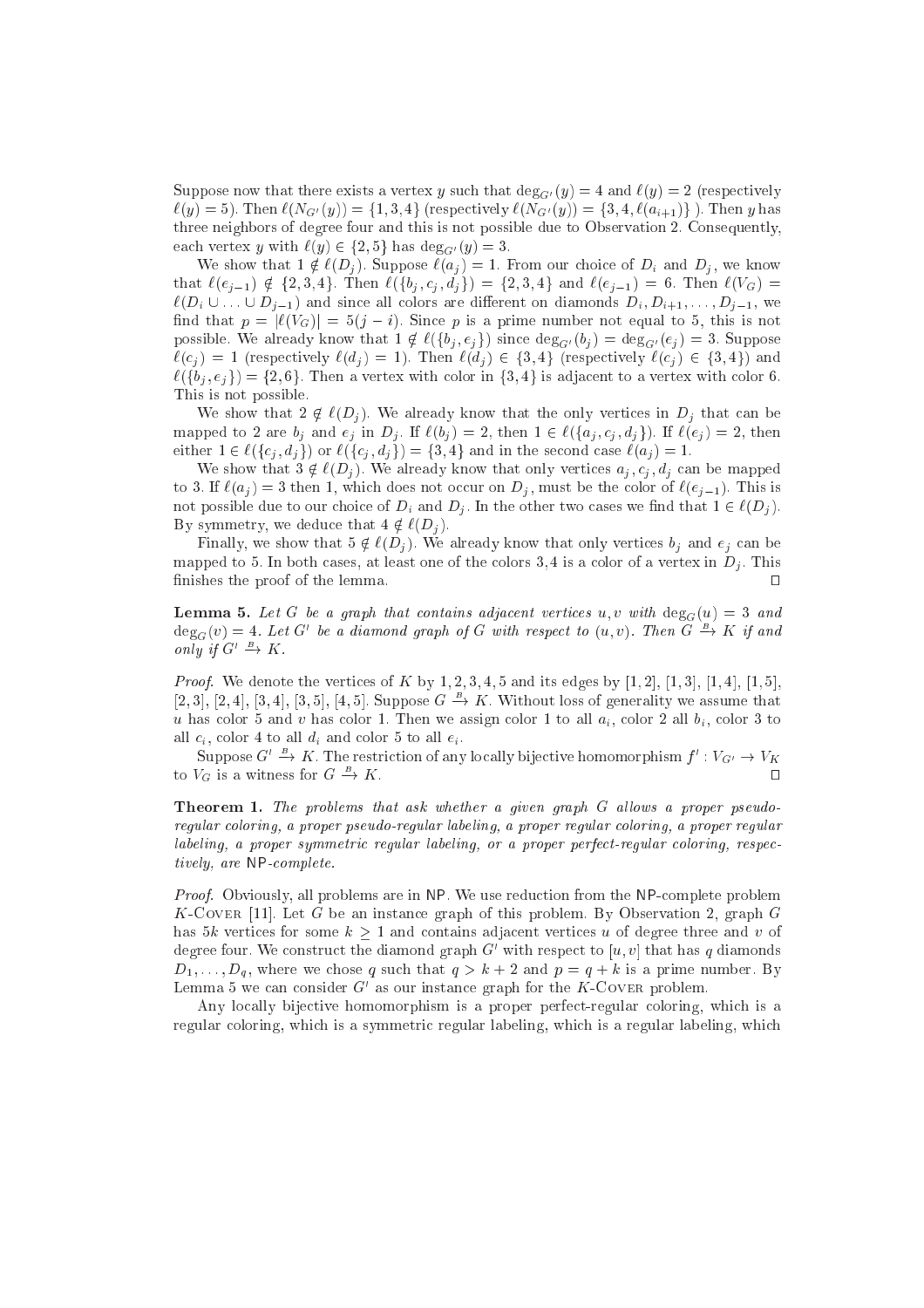Suppose now that there exists a vertex y such that  $\deg_{G'}(y) = 4$  and  $\ell(y) = 2$  (respectively  $\ell(y) = 5$ ). Then  $\ell(N_{G'}(y)) = \{1, 3, 4\}$  (respectively  $\ell(N_{G'}(y)) = \{3, 4, \ell(a_{i+1})\}$ ). Then y has three neighbors of degree four and this is not possible due to Observation 2. Consequently, each vertex y with  $\ell(y) \in \{2, 5\}$  has  $\deg_{G'}(y) = 3$ .

We show that  $1 \notin \ell(D_i)$ . Suppose  $\ell(a_i) = 1$ . From our choice of  $D_i$  and  $D_j$ , we know that  $\ell(e_{j-1}) \notin \{2, 3, 4\}$ . Then  $\ell(\{b_j, c_j, d_j\}) = \{2, 3, 4\}$  and  $\ell(e_{j-1}) = 6$ . Then  $\ell(V_G)$  $\ell(D_i \cup ... \cup D_{j-1})$  and since all colors are different on diamonds  $D_i, D_{i+1},..., D_{j-1}$ , we find that  $p = |\ell(V_G)| = 5(j - i)$ . Since p is a prime number not equal to 5, this is not possible. We already know that  $1 \notin \ell(\{b_j, e_j\})$  since  $\deg_{G'}(b_j) = \deg_{G'}(e_j) = 3$ . Suppose  $\ell(c_j) = 1$  (respectively  $\ell(d_j) = 1$ ). Then  $\ell(d_j) \in \{3, 4\}$  (respectively  $\ell(c_j) \in \{3, 4\}$ ) and  $\ell({b_i, e_i}) = {2, 6}$ . Then a vertex with color in  ${3, 4}$  is adjacent to a vertex with color 6. This is not possible.

We show that  $2 \notin \ell(D_i)$ . We already know that the only vertices in  $D_i$  that can be mapped to 2 are  $b_j$  and  $e_j$  in  $D_j$ . If  $\ell(b_j) = 2$ , then  $1 \in \ell(\{a_j, c_j, d_j\})$ . If  $\ell(e_j) = 2$ , then either  $1 \in \ell(\lbrace c_j, d_j \rbrace)$  or  $\ell(\lbrace c_j, d_j \rbrace) = \lbrace 3, 4 \rbrace$  and in the second case  $\ell(a_j) = 1$ .

We show that  $3 \notin \ell(D_i)$ . We already know that only vertices  $a_i, c_i, d_i$  can be mapped to 3. If  $\ell(a_i) = 3$  then 1, which does not occur on  $D_i$ , must be the color of  $\ell(e_{i-1})$ . This is not possible due to our choice of  $D_i$  and  $D_j$ . In the other two cases we find that  $1 \in \ell(D_j)$ . By symmetry, we deduce that  $4 \notin \ell(D_i)$ .

Finally, we show that  $5 \notin \ell(D_i)$ . We already know that only vertices  $b_i$  and  $e_i$  can be mapped to 5. In both cases, at least one of the colors 3, 4 is a color of a vertex in  $D_i$ . This finishes the proof of the lemma.

**Lemma 5.** Let G be a graph that contains adjacent vertices u, v with  $\deg_G(u) = 3$  and  $\deg_G(v) = 4$ . Let G'be a diamond graph of G with respect to  $(u, v)$ . Then G  $\Rightarrow$  K if and only if  $G' \to K$ .

es of the vertice that we denote the contract of the vertice of the compact of the literature of the letter of  $[2, 3], [2, 4], [3, 4], [3, 5], [4, 5]$ . Suppose  $G \rightarrow K$ . Without loss of generality we assume that olor 1. Then we assign to a strong the strong control to all the strongly control to the state of the strong o all  $c_i$ , color 4 to all  $d_i$  and color 5 to all  $e_i$ .

Suppose  $G' \to K$  . The restriction of any locally bijective homomorphism  $f' : V_{G'} \to V_K$ to  $V_G$  is a witness for  $G \rightarrow$ k. utawa kata ilikuwa katika mwaka wa kata ilikuwa katika mwaka wa kata ilikuwa katika mwaka wa kata ilikuwa k

**Theorem 1.** The problems that ask whether a given graph  $G$  allows a proper pseudoregular oloring, <sup>a</sup> proper pseudo-regular labeling, <sup>a</sup> proper regular oloring, <sup>a</sup> proper regular labeling, <sup>a</sup> proper symmetri regular labeling, or <sup>a</sup> proper perfe
t-regular oloring, respe
 tively, are NPomplete.

Proof. Obviously, all problems are in NP. We use redu
tion from the NPomplete problem K-COVER [11]. Let G be an instance graph of this problem. By Observation 2, graph G has 5k vertices for some  $k \geq 1$  and contains adjacent vertices u of degree three and v of degree four. We construct the diamond graph  $G$  with respect to  $[u,v]$  that has  $q$  diamonds  $D_1, \ldots, D_q$ , where we chose q such that  $q > k + 2$  and  $p = q + k$  is a prime number. By Lemma 5 we can consider G as our instance graph for the K-COVER problem.

Any locally bijective homomorphism is a proper perfect-regular coloring, which is a regular coloring, which is a symmetric regular labeling, which is a regular labeling, which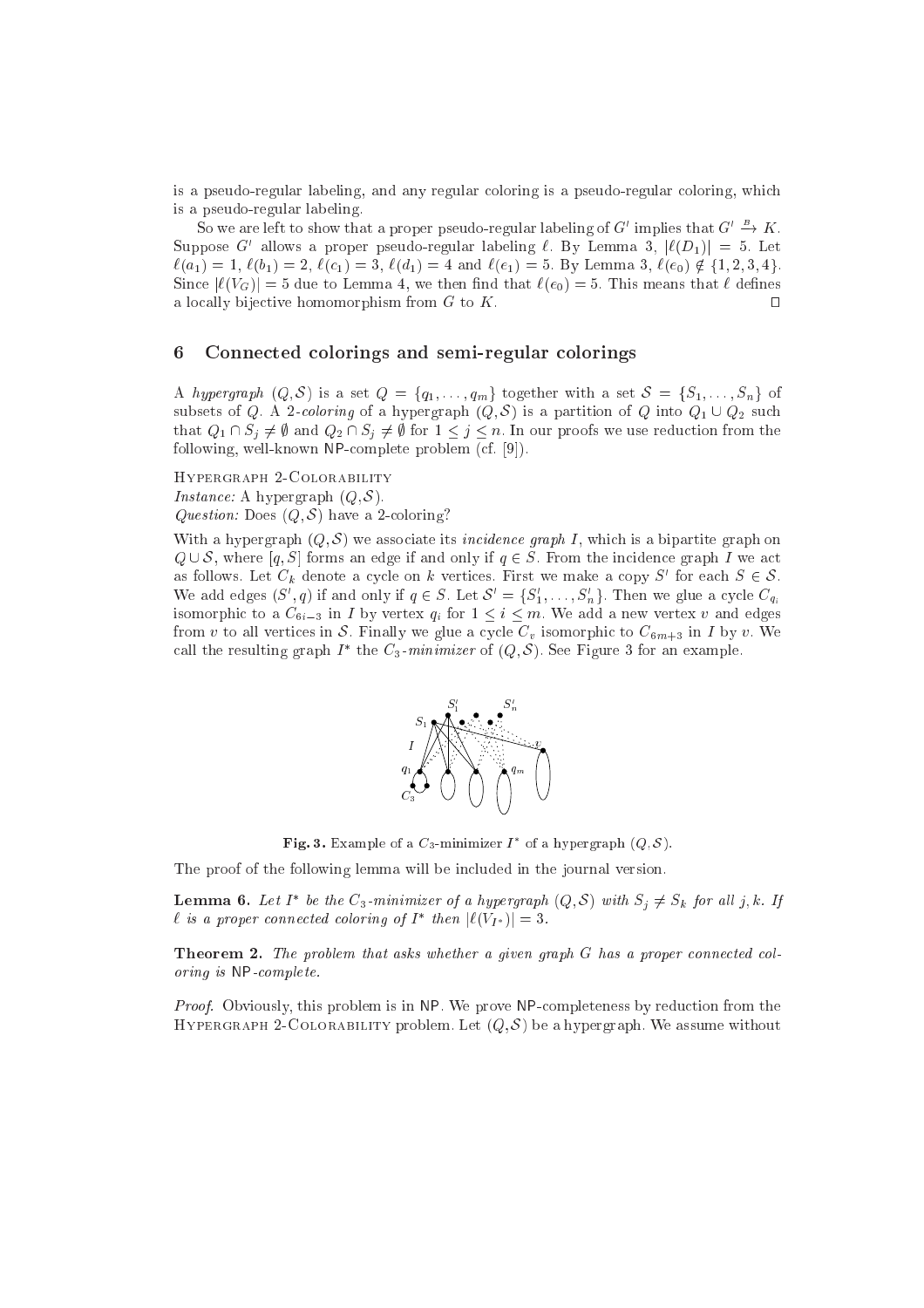is a pseudo-regular labeling, and any regular oloring is a pseudo-regular oloring, whi
h is a pseudo-regular labeling.

So we are left to show that a proper pseudo-regular labeling of G<sup>or</sup> implies that  $G' \to K$ . Suppose G allows a proper pseudo-regular labeling  $\ell$ . By Lemma 5,  $|\ell(D_1)| = 5$ . Let  $\ell(a_1) = 1, \, \ell(b_1) = 2, \, \ell(c_1) = 3, \, \ell(d_1) = 4 \text{ and } \ell(e_1) = 5. \text{ By Lemma 3, } \ell(e_0) \notin \{1, 2, 3, 4\}.$ Since  $|\ell(V_G)| = 5$  due to Lemma 4, we then find that  $\ell(e_0) = 5$ . This means that  $\ell$  defines a locally bijective homomorphism from  $G$  to  $K$ .  $\Box$ 

#### 6 Connected colorings and semi-regular colorings

A hypergraph  $(Q, S)$  is a set  $Q = \{q_1, \ldots, q_m\}$  together with a set  $S = \{S_1, \ldots, S_n\}$  of subsets of Q. A 2-coloring of a hypergraph  $(Q, S)$  is a partition of Q into  $Q_1 \cup Q_2$  such that  $Q_1 \cap S_j \neq \emptyset$  and  $Q_2 \cap S_j \neq \emptyset$  for  $1 \leq j \leq n$ . In our proofs we use reduction from the following, well-known NP-complete problem (cf. [9]).

Hypergraph 2-Colorability

e: A hypergraph (Q). In the set of the set of the set of the set of the set of the set of the set of the set of

Question: Does (Q; S) have a 2oloring?

With a hypergraph  $(Q, S)$  we associate its *incidence graph I*, which is a bipartite graph on a graph is the form and only if and only if  $q \in \mathbb{R}$  . For the international  $\pi$  are in the international  $\pi$ as follows. Let  $\cup_k$  denote a cycle on  $\kappa$  vertices. First we make a copy  $\beta$  for each  $\beta \in \mathcal{S}$ . We add edges  $(S, q)$  if and only if  $q \in S$ . Let  $S = \{S_1, \ldots, S_n\}$ . Then we glue a cycle  $C_{q_i}$ isomorphic to a  $C_{6i-3}$  in *I* by vertex  $q_i$  for  $1 \leq i \leq m$ . We add a new vertex v and edges from v to all vertices in S. Finally we glue a cycle  $C_v$  isomorphic to  $C_{6m+3}$  in I by v. We call the resulting graph I – the  $C_3$ -*minimizer* of  $(Q, \mathcal{S})$ . See Figure 3 for an example.



**Fig. 3.** Example of a  $\mathbb{C}_3$ -minimizer I of a hypergraph  $(Q, \mathcal{S})$ .

The proof of the following lemma will be included in the journal version.

**Lemma 6.** Let 1 be the  $C_3$ -minimizer of a hypergraph  $(Q, \mathcal{S})$  with  $S_i \neq S_k$  for an f, k. 1f  $\iota$  is a proper connected cotoring of 1 then  $|\iota(\nu_{I^*})| = 3$ .

**Theorem 2.** The problem that asks whether a given graph  $G$  has a proper connected coloring is NPomplete.

Proof. Obviously, this problem is in NP. We prove NPompleteness by redu
tion from the Hypergraph 2-Colorability problem. Let (Q; S) be a hypergraph. We assume without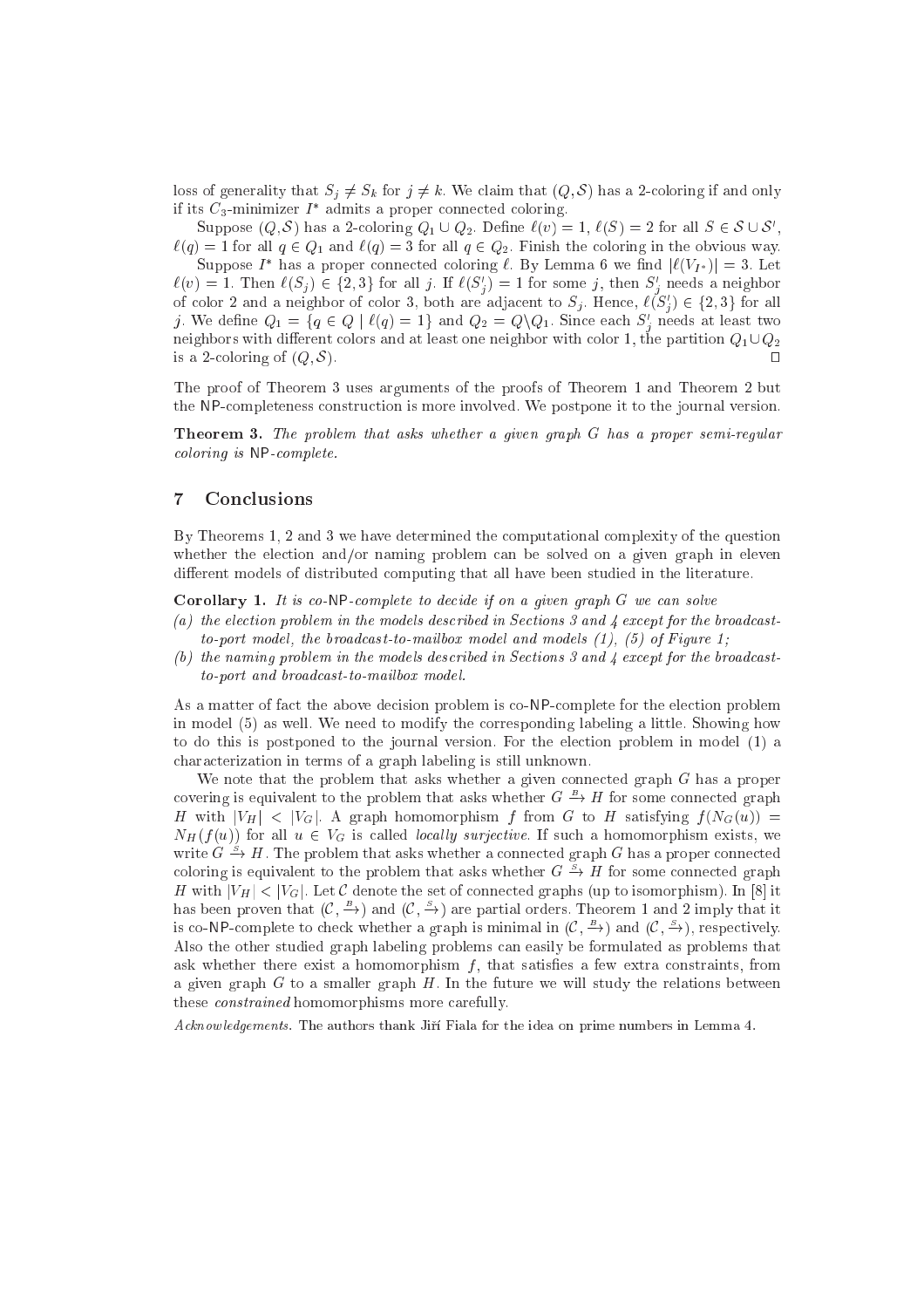loss of generality that  $S_j \neq S_k$  for  $j \neq k$ . We claim that  $(Q, S)$  has a 2-coloring if and only  $\pi$  its  $\epsilon_3$ -minimizer I admits a proper connected coloring.

Suppose  $(Q, \delta)$  has a 2-coloring  $Q_1 \cup Q_2$ . Define  $\ell(v) = 1$ ,  $\ell(\delta) = 2$  for all  $\delta \in \delta \cup \delta$ ,  $\ell(q) = 1$  for all  $q \in Q_1$  and  $\ell(q) = 3$  for all  $q \in Q_2$ . Finish the coloring in the obvious way.

Suppose I has a proper connected coloring  $\ell$ . By Lemma 6 we find  $|\ell(V_{I^*})| = 3$ . Let  $\ell(v) = 1$ . Then  $\ell(S_j) \in \{2, 3\}$  for all j. If  $\ell(S_j) = 1$  for some j, then  $S_j$  heeds a neighbor of color 2 and a neighbor of color 5, both are adjacent to  $S_j$ . Hence,  $\iota(S_j) \in \{2, 5\}$  for all *j*. We define  $Q_1 = \{q \in Q \mid \ell(q) = 1\}$  and  $Q_2 = Q \setminus Q_1$ . Since each  $S_j$  needs at least two neighbors with different colors and at least one neighbor with color 1, the partition  $Q_1 \cup Q_2$ is a 2-coloring of  $(Q, S)$ .  $\Box$ 

The proof of Theorem 3 uses arguments of the proofs of Theorem 1 and Theorem 2 but the NPompleteness onstru
tion is more involved. We postpone it to the journal version.

Theorem 3. The problem that asks whether <sup>a</sup> given graph <sup>G</sup> has <sup>a</sup> proper semi-regular oloring is NPomplete.

### 7 Con
lusions

By Theorems 1, 2 and 3 we have determined the omputational omplexity of the question whether the election and/or naming problem can be solved on a given graph in eleven different models of distributed computing that all have been studied in the literature.

Corollary 1. It is co-NP-complete to decide if on a given graph  $G$  we can solve

- (a) the ele
tion problem in the models des
ribed in Se
tions <sup>3</sup> and <sup>4</sup> ex
ept for the broad
astto-port model, the broad
ast-to-mailbox model and models (1), (5) of Figure 1;
- (b) the naming problem in the models des
ribed in Se
tions <sup>3</sup> and <sup>4</sup> ex
ept for the broad
astto-port and broad
ast-to-mailbox model.

As a matter of fact the above decision problem is co-NP-complete for the election problem in model (5) as well. We need to modify the orresponding labeling a little. Showing how to do this is postponed to the journal version. For the ele
tion problem in model (1) a hara
terization in terms of a graph labeling is still unknown.

We note that the problem that asks whether a given connected graph  $G$  has a proper covering is equivalent to the problem that asks whether  $G \to H$  for some connected graph H with jVH <sup>j</sup> <sup>&</sup>lt; jVGj. <sup>A</sup> graph homomorphism <sup>f</sup> from <sup>G</sup> to <sup>H</sup> satisfying <sup>f</sup> (NG(u)) <sup>=</sup>  $N_H(f(u))$  for all  $u \in V_G$  is called *locally surjective*. If such a homomorphism exists, we write  $G \to H$ . The problem that asks whether a connected graph G has a proper connected coloring is equivalent to the problem that asks whether  $G \to H$  for some connected graph H with jVHj <sup>&</sup>lt; jVGj. Let <sup>C</sup> denote the set of onne
ted graphs (up to isomorphism). In [8℄ it has been proven that  $(C, \rightarrow)$  and  $(C, \rightarrow)$  are partial orders. Theorem 1 and 2 imply that it is co-NP-complete to check whether a graph is minimal in  $(C, \rightarrow)$  and  $(C, \rightarrow)$ , respectively. Also the other studied graph labeling problems an easily be formulated as problems that ask whether there exist a homomorphism  $f$ , that satisfies a few extra constraints, from a given graph  $G$  to a smaller graph  $H$ . In the future we will study the relations between these *constrained* homomorphisms more carefully.

Acknowledgements. The authors thank Jirí Fiala for the idea on prime numbers in Lemma 4.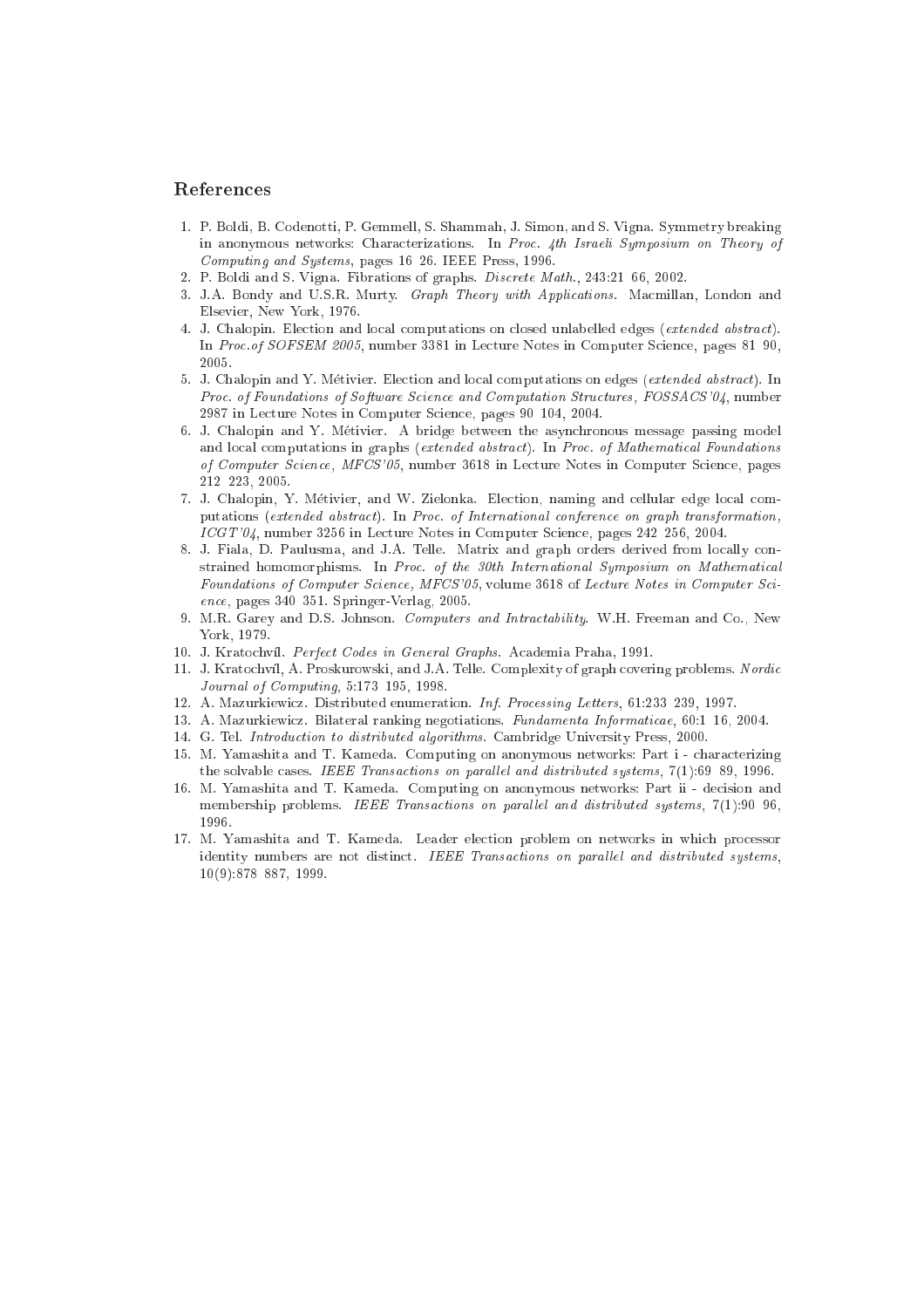#### Referen
es

- 1. P. Boldi, B. Codenotti, P. Gemmell, S. Shammah, J. Simon, and S. Vigna. Symmetry breaking in anonymous networks: Characterizations. In Proc. 4th Israeli Symposium on Theory of Computing and Systems, pages 16-26. IEEE Press, 1996.
- 2. P. Boldi and S. Vigna. Fibrations of graphs. Discrete Math., 243:21-66, 2002.
- 3. J.A. Bondy and U.S.R. Murty. Graph Theory with Applications. Macmillan, London and Elsevier, New York, 1976.
- 4. J. Chalopin. Election and local computations on closed unlabelled edges (extended abstract). In Proc. of SOFSEM 2005, number 3381 in Lecture Notes in Computer Science, pages 81-90, 2005.
- 5. J. Chalopin and Y. Métivier. Election and local computations on edges (extended abstract). In Proc. of Foundations of Software Science and Computation Structures, FOSSACS'04, number 2987 in Lecture Notes in Computer Science, pages 90-104, 2004.
- 6. J. Chalopin and Y. Metivier. A bridge between the asyn
hronous message passing model and local computations in graphs (extended abstract). In Proc. of Mathematical Foundations of Computer Science, MFCS'05, number 3618 in Lecture Notes in Computer Science, pages 212{223, 2005.
- 7. J. Chalopin, Y. Métivier, and W. Zielonka. Election, naming and cellular edge local computations (extended abstract). In Proc. of International conference on graph transformation, ICGT'04, number 3256 in Lecture Notes in Computer Science, pages 242-256, 2004.
- 8. J. Fiala, D. Paulusma, and J.A. Telle. Matrix and graph orders derived from locally constrained homomorphisms. In Proc. of the 30th International Symposium on Mathematical Foundations of Computer Science, MFCS'05, volume 3618 of Lecture Notes in Computer Science, pages 340-351. Springer-Verlag, 2005.
- 9. M.R. Garey and D.S. Johnson. Computers and Intra
tability. W.H. Freeman and Co., New York, 1979.
- 10. J. Kratochvíl. Perfect Codes in General Graphs. Academia Praha, 1991.
- 11. J. Kratochvíl, A. Proskurowski, and J.A. Telle. Complexity of graph covering problems. Nordic Journal of Computing,  $5:173-195$ , 1998.
- 12. A. Mazurkiewicz. Distributed enumeration. Inf. Processing Letters, 61:233-239, 1997.
- 13. A. Mazurkiewicz. Bilateral ranking negotiations. Fundamenta Informaticae, 60:1-16, 2004.
- 14. G. Tel. Introdu
tion to distributed algorithms. Cambridge University Press, 2000.
- 15. M. Yamashita and T. Kameda. Computing on anonymous networks: Part i hara
terizing the solvable cases. IEEE Transactions on parallel and distributed systems, 7(1):69-89, 1996.
- 16. M. Yamashita and T. Kameda. Computing on anonymous networks: Part ii de
ision and membership problems. IEEE Transactions on parallel and distributed systems, 7(1):90-96, 1996.
- 17. M. Yamashita and T. Kameda. Leader ele
tion problem on networks in whi
h pro
essor identity numbers are not distinct. IEEE Transactions on parallel and distributed systems,  $10(9):878{-}887, 1999.$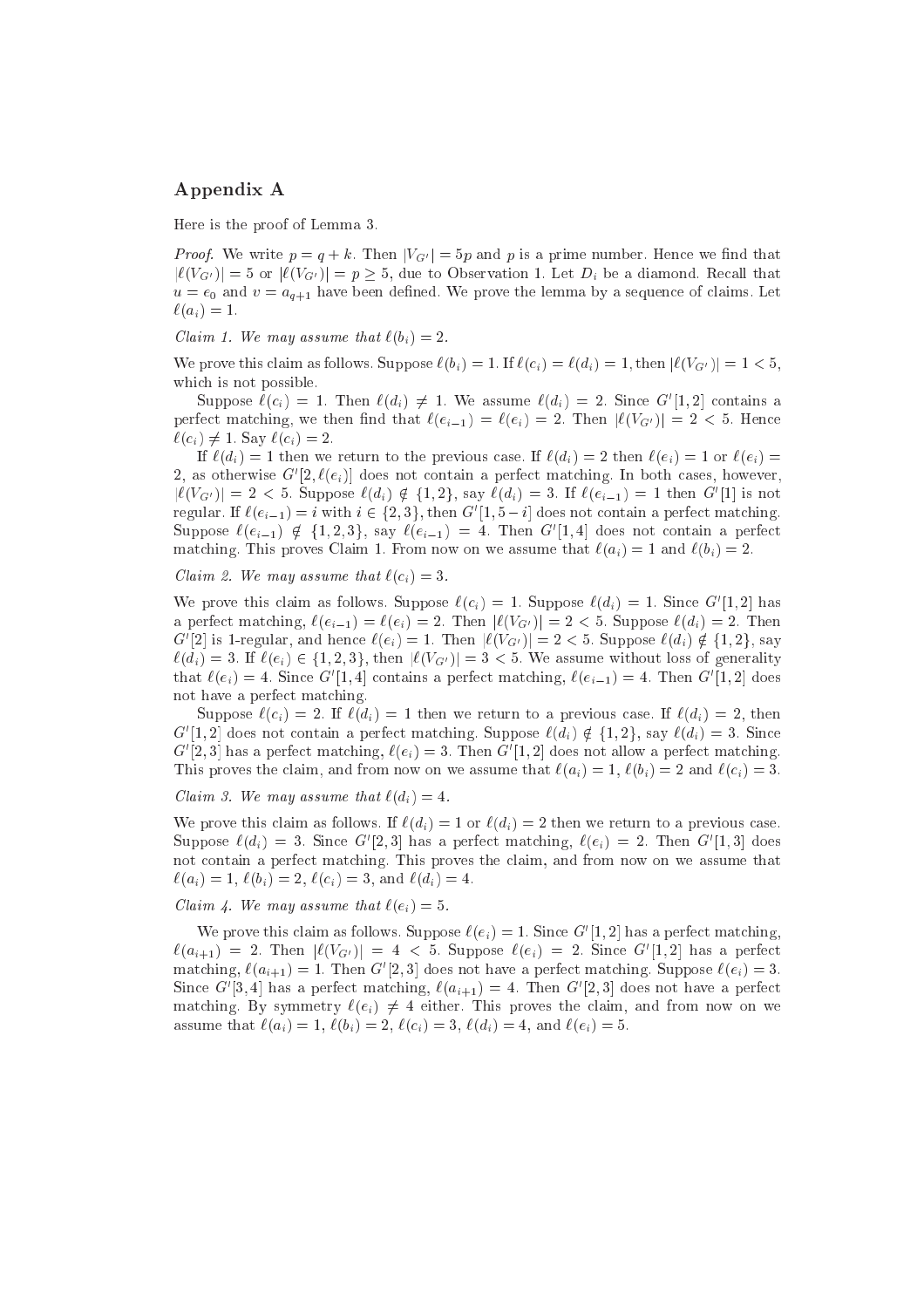## Appendix A

Here is the proof of Lemma 3.

Proof. We write p = q + k. Prime  $M_1$  = 5p and p is a prime number. Hence we mind that  $|\ell(V_{G'})|=5$  or  $|\ell(V_{G'})|=p \geq 5$ , due to Observation 1. Let  $D_i$  be a diamond. Recall that u = en and v = aque en sequent de sequence de la prove the consequence of a sequence of consequent — of  $\ell(a_i) = 1.$ 

 $\sim$  . We may assume that  $\sim$   $\sim$   $\sim$   $\sim$  2.

We prove this claim as follows. Suppose  $\ell(b_i) = 1$ . If  $\ell(c_i) = \ell(d_i) = 1$ , then  $|\ell(V_{G'})| = 1 < 5$ , which is not possible.

Suppose  $\ell(c_i) = 1$ . Then  $\ell(d_i) \neq 1$ . We assume  $\ell(d_i) = 2$ . Since G [1, 2] contains a perfect matching, we then find that  $\ell(e_{i-1}) = \ell(e_i) = 2$ . Then  $|\ell(V_{G'})| = 2 < 5$ . Hence  $\ell(c_i) \neq 1$ . Say  $\ell(c_i) = 2$ .

If  $\ell(d_i) = 1$  then we return to the previous case. If  $\ell(d_i) = 2$  then  $\ell(e_i) = 1$  or  $\ell(e_i) = 1$  $\Delta$ , as otherwise G $|\Delta, \ell(e_i)|$  does not contain a perfect matching. In both cases, however,  $|\ell(V_{G'})| = 2 \leq 5$ . Suppose  $\ell(u_i) \notin \{1, 2\}$ , say  $\ell(u_i) = 5$ . If  $\ell(e_{i-1}) = 1$  then G [1] is not regular. If  $e(e_{i-1}) = i$  with  $i \in \{2, 5\}$ , then  $G([1, 0 - i]$  does not contain a perfect matching. Suppose  $\ell(e_{i-1}) \notin \{1, 2, \mathfrak{d}\},$  say  $\ell(e_{i-1}) = 4$ . Then G $|1, 4|$  does not contain a perfect matching. This proves Claim 1. From now on we assume that  $\ell(a_i) = 1$  and  $\ell(b_i) = 2$ .

 $\sim$  . We may assume that  $\sim$   $\sim$   $\sim$   $\sim$   $\sim$   $\sim$ 

We prove this claim as follows. Suppose  $\ell(c_i) = 1$ . Suppose  $\ell(u_i) = 1$ . Since G  $[1, 2]$  has a perfect matching,  $\ell(e_{i-1}) = \ell(e_i) = 2$ . Then  $|\ell(V_{G'})| = 2 < 5$ . Suppose  $\ell(d_i) = 2$ . Then G [2] is 1-regular, and hence  $\ell(e_i) = 1$ . Then  $|\ell(VG)| = 2 \leq 3$ . Suppose  $\ell(a_i) \notin \{1,2\}$ , say  $\ell(d_i) = 3$ . If  $\ell(e_i) \in \{1, 2, 3\}$ , then  $|\ell(V_{G'})| = 3 < 5$ . We assume without loss of generality that  $\ell(e_i) = 4$ . Since G  $[1, 4]$  comains a perfect matching,  $\ell(e_{i-1}) = 4$ . Then G  $[1, 2]$  does not have a perfe
t mat
hing.

Suppose  $\ell(c_i) = 2$ . If  $\ell(d_i) = 1$  then we return to a previous case. If  $\ell(d_i) = 2$ , then G [1, 2] does not contain a perfect matching. Suppose  $\ell(a_i) \notin \{1, 2\}$ , say  $\ell(a_i) = 3$ . Since G $|2,3|$  has a perfect matching,  $\ell(e_i) = 3$ . Then G $|1,2|$  does not allow a perfect matching. This proves the claim, and from now on we assume that  $\ell(a_i) = 1$ ,  $\ell(b_i) = 2$  and  $\ell(c_i) = 3$ .

 $\blacksquare$  . We may assume that  $\blacksquare$ 

We prove this claim as follows. If  $\ell(d_i) = 1$  or  $\ell(d_i) = 2$  then we return to a previous case. Suppose  $\ell(a_i) = 3$ . Since G  $\vert 2, 3\vert$  has a perfect matching,  $\ell(e_i) = 2$ . Then G  $\vert 1, 3\vert$  does not ontain a perfe
t mat
hing. This proves the laim, and from now on we assume that  $\ell(a_i) = 1, \, \ell(b_i) = 2, \, \ell(c_i) = 3, \text{ and } \ell(d_i) = 4.$ 

 $\sim$  . We may assume that  $\sim$   $($   $\sim$   $/$   $)$ 

We prove this claim as follows. Suppose  $\ell(e_i) = 1$ . Since G  $[1, 2]$  has a perfect matching,  $\ell(a_{i+1}) = 2$ . Then  $|\ell(VG)| = 4 \leq 3$ . Suppose  $\ell(e_i) = 2$ . Since G [1, 2] has a perfect  $\max_{i}$   $\ell(a_{i+1}) = 1$ . Then G  $|2, 3|$  does not have a perfect matching. Suppose  $\ell(e_i) = 3$ . Since G  $[3, 4]$  has a perfect matching,  $\ell(a_{i+1}) = 4$ . Then G  $[2, 3]$  does not have a perfect matching. By symmetry  $\ell(e_i) \neq 4$  either. This proves the claim, and from now on we assume that  $\ell(a_i) = 1, \, \ell(b_i) = 2, \, \ell(c_i) = 3, \, \ell(d_i) = 4$ , and  $\ell(e_i) = 5$ .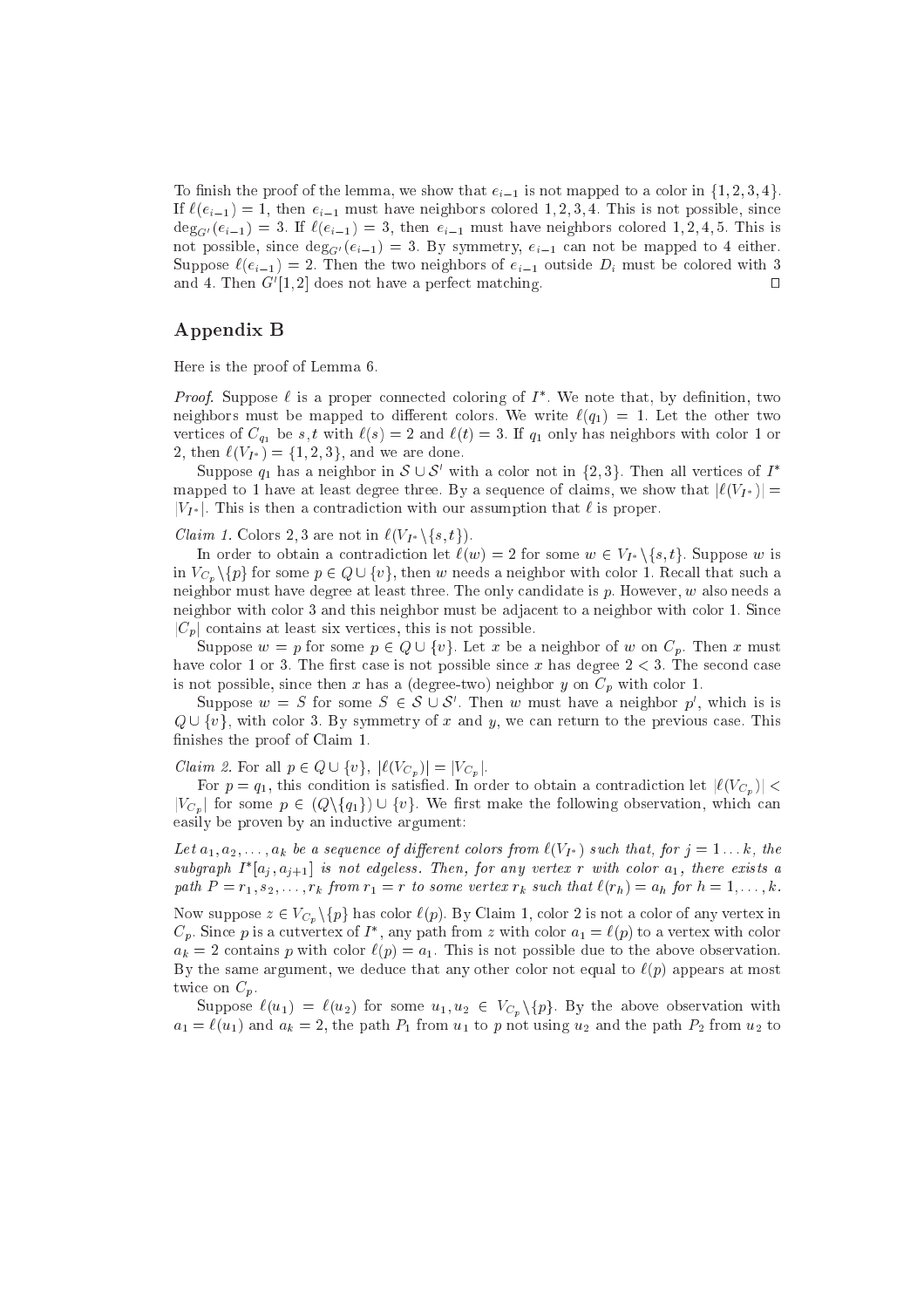To finish the proof of the lemma, we show that  $e_{i-1}$  is not mapped to a color in  $\{1, 2, 3, 4\}$ . If  $\ell(e_{i-1}) = 1$ , then  $e_{i-1}$  must have neighbors colored 1, 2, 3, 4. This is not possible, since  $\deg_{G'}(e_{i-1}) = 3$ . If  $\ell(e_{i-1}) = 3$ , then  $e_{i-1}$  must have neighbors colored 1, 2, 4, 5. This is not possible, since  $\deg_{G'}(e_{i-1}) = 3$ . By symmetry,  $e_{i-1}$  can not be mapped to 4 either. Suppose  $\ell(e_{i-1}) = 2$ . Then the two neighbors of  $e_{i-1}$  outside  $D_i$  must be colored with 3  $\Box$ and 4. Then  $G$  [1, 2] does not have a perfect matching.

### Appendix B

Here is the proof of Lemma 6.

*Proof.* Suppose  $\ell$  is a proper connected coloring of  $I$ . We note that, by definition, two neighbors must be mapped to different colors. We write  $\ell(q_1) = 1$ . Let the other two vertices of  $C_{q_1}$  be s, t with  $\ell(s) = 2$  and  $\ell(t) = 3$ . If  $q_1$  only has neighbors with color 1 or 2, then  $\ell(V_{I^*}) = \{1, 2, 3\}$ , and we are done.

Suppose  $q_1$  has a neighbor in  $S \cup S$  with a color not in  $\{2, 3\}$ . Then all vertices of I mapped to 1 have at least degree three. By a sequence of claims, we show that  $|\ell(V_{I^*})|$  =  $|V_{I^*}|$ . This is then a contradiction with our assumption that  $\ell$  is proper.

Claim 1. Colors 2; 3 are not in `(VI nfs; tg).

In order to obtain a contradiction let  $\ell(w) = 2$  for some  $w \in V_{I^*} \setminus \{s, t\}$ . Suppose w is in  $V_{C_p}\setminus\{p\}$  for some  $p \in Q \cup \{v\}$ , then w needs a neighbor with color 1. Recall that such a neighbor must have degree at least three. The only candidate is  $p$ . However,  $w$  also needs a neighbor with olor 3 and this neighbor must be adja
ent to a neighbor with olor 1. Sin
e  $|C_p|$  contains at least six vertices, this is not possible.

Suppose  $w = p$  for some  $p \in Q \cup \{v\}$ . Let x be a neighbor of w on  $C_p$ . Then x must have color 1 or 3. The first case is not possible since x has degree  $2 < 3$ . The second case is not possible, since then x has a (degree-two) neighbor y on  $C_p$  with color 1.

Suppose  $w = S$  for some  $S \in \mathcal{S} \cup \mathcal{S}$ . Then w must have a neighbor  $p$ , which is is as a return to the previous of  $\alpha$  and  $\alpha$  and  $\alpha$  are assumed to the previous of the previous of  $\alpha$  and  $\alpha$ finishes the proof of Claim 1.

Claim 2. For all  $\Gamma$  2  $\mathcal{Q}$  2 [ f j j  $|\cdot \setminus \cup_{n}$  )j = j'Cp jr

For  $p = q_1$ , this condition is satisfied. In order to obtain a contradiction let  $|\ell(V_{C_p})|$  <  $|V_{C_p}|$  for some  $p \in (Q \setminus \{q_1\}) \cup \{v\}$ . We first make the following observation, which can easily be proven by an inductive argument:

 $\Xi$ or  $\alpha_1, \alpha_2, \ldots, \alpha_k$  be a sequence of anyonomic service from  $\langle V_1 \rangle$  , such sharp for  $j = 1, \ldots, k$  and  $s$ ubgraph 1  $|a_i, a_{i+1}|$  is not eageless. Then, for any vertex r with color  $a_1$ , there exists a path <sup>P</sup> <sup>=</sup> r1; s2; : : : ; rk from r1 <sup>=</sup> <sup>r</sup> to some vertex rk su
h that `(rh) <sup>=</sup> ah for <sup>h</sup> <sup>=</sup> 1; : : : ; k.

Now suppose  $z \in V_{C_p} \backslash \{p\}$  has color  $\ell(p)$ . By Claim 1, color 2 is not a color of any vertex in  $\cup_p$ . Since p is a cutvertex of I , any path from z with color  $a_1 = \ell(p)$  to a vertex with color  $a_k = 2$  contains p with color  $\ell(p) = a_1$ . This is not possible due to the above observation. By the same argument, we deduce that any other color not equal to  $\ell(p)$  appears at most twice on  $C_p$ .

Suppose  $\ell(u_1) = \ell(u_2)$  for some  $u_1, u_2 \in V_{C_p} \backslash \{p\}$ . By the above observation with  $a_1 = \ell(u_1)$  and  $a_k = 2$ , the path  $P_1$  from  $u_1$  to p not using  $u_2$  and the path  $P_2$  from  $u_2$  to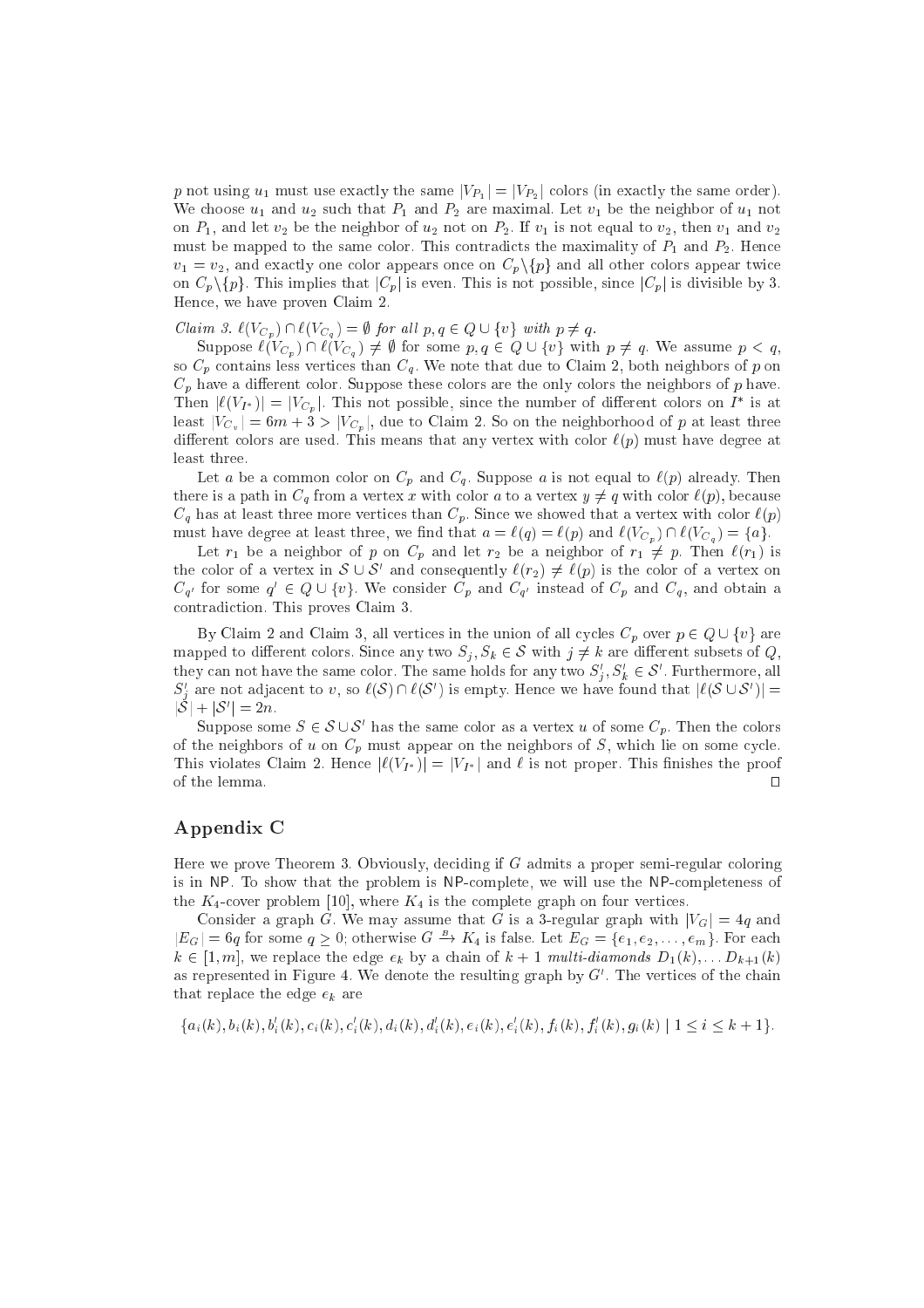$\mathbf r$  and  $\mathbf r$  is the same order  $\mathbf r$  , the same  $\mathbf r$  ji  $\mathbf r$  ji  $\mathbf r$  ji  $\mathbf r$  ji  $\mathbf r$  is the same order). We choose  $u_1$  and  $u_2$  such that  $P_1$  and  $P_2$  are maximal. Let  $v_1$  be the neighbor of  $u_1$  not on  $P_1$ , and let  $v_2$  be the neighbor of  $u_2$  not on  $P_2$ . If  $v_1$  is not equal to  $v_2$ , then  $v_1$  and  $v_2$ must be mapped to the same color. This contradicts the maximality of  $P_1$  and  $P_2$ . Hence  $v_1 = v_2$ , and exactly one color appears once on  $C_p \setminus \{p\}$  and all other colors appear twice on  $C_p \setminus \{p\}$ . This implies that  $|C_p|$  is even. This is not possible, since  $|C_p|$  is divisible by 3. Hen
e, we have proven Claim 2.

 $C$  .  $\mathcal{C}(\mathcal{C}_p)$  is a subset of  $\mathcal{C}_q$  , and p  $\mathcal{C}(\mathcal{C}_q)$  is a subset of  $\mathcal{C}(\mathcal{C}_p)$  with p  $\mathcal{C}(\mathcal{C}_q)$ 

Suppose  $\ell(V_{C_n}) \cap \ell(V_{C_q}) \neq \emptyset$  for some  $p, q \in Q \cup \{v\}$  with  $p \neq q$ . We assume  $p < q$ , so  $C_p$  contains less vertices than  $C_q$ . We note that due to Claim 2, both neighbors of p on  $C_p$  have a different color. Suppose these colors are the only colors the neighbors of p have. Then  $|\ell(VI^*)| = |VC_n|$ . This not possible, since the number of different colors on I is at least  $|V_{C_v}| = 6m + 3 > |V_{C_v}|$ , due to Claim 2. So on the neighborhood of p at least three different colors are used. This means that any vertex with color  $\ell(p)$  must have degree at least three.

Let a be a common color on  $C_p$  and  $C_q$ . Suppose a is not equal to  $\ell(p)$  already. Then there is a path in  $C_q$  from a vertex x with color a to a vertex  $y \neq q$  with color  $\ell(p)$ , because  $C_q$  has at least three more vertices than  $C_p$ . Since we showed that a vertex with color  $\ell(p)$ must have degree at least three, we find that  $a = \ell(q) = \ell(p)$  and  $\ell(V_{C_p}) \cap \ell(V_{C_q}) = \{a\}.$ 

Let  $r_1$  be a neighbor of p on  $C_p$  and let  $r_2$  be a neighbor of  $r_1 \neq p$ . Then  $\ell(r_1)$  is the color of a vertex in  $S \cup S$  and consequently  $\ell(r_2) \neq \ell(p)$  is the color of a vertex on  $C_{q'}$  for some  $q' \in Q \cup \{v\}$ , we consider  $C_p$  and  $C_{q'}$  instead of  $C_p$  and  $C_q$ , and obtain a ontradi
tion. This proves Claim 3.

By Claim 2 and Claim 3, all vertices in the union of all cycles  $C_p$  over  $p \in Q \cup \{v\}$  are mapped to different colors. Since any two  $S_j$ ,  $S_k \in \mathcal{S}$  with  $j \neq k$  are different subsets of  $Q$ , they can not have the same color. The same holds for any two  $S_j, S_k \in \mathcal{S}$  . Furthermore, all  $S'_i$  are not adjacent to v, so  $\ell(S) \cap \ell(S')$  is empty. Hence we have found that  $|\ell(S \cup S')|$  =  $|O| + |O| = 2n$ .

Suppose some  $S \in \mathcal{S} \cup \mathcal{S}$  has the same color as a vertex u of some  $\mathcal{C}_p$ . Then the colors of the neighbors of u on  $C_p$  must appear on the neighbors of S, which lie on some cycle. This violates Claim 2. Hence  $|\ell(V_{I^*})| = |V_{I^*}|$  and  $\ell$  is not proper. This finishes the proof of the lemma.  $\Box$ 

## Appendix C

Here we prove Theorem 3. Obviously, deciding if G admits a proper semi-regular coloring is in NP. To show that the problem is NP-complete, we will use the NP-completeness of the  $K_4$ -cover problem [10], where  $K_4$  is the complete graph on four vertices.

Consider a graph G. We may assume that G is a 3-regular graph with  $|V_G|=4q$  and  $|E_G| = 6q$  for some  $q \ge 0$ ; otherwise  $G \to K_4$  is false. Let  $E_G = \{e_1, e_2, \ldots, e_m\}$ . For each e the edge extending experiment of  $\alpha$  and the extension of the extension of the extension  $\alpha$  is the property of  $\alpha$ as represented in Figure 4. We denote the resulting graph by  $G$  . The vertices of the chain that replace the edge  $e_k$  are

$$
\{a_i(k), b_i(k), b'_i(k), c_i(k), c'_i(k), d_i(k), d'_i(k), e_i(k), e'_i(k), f_i(k), f'_i(k), g_i(k) \mid 1 \le i \le k+1\}.
$$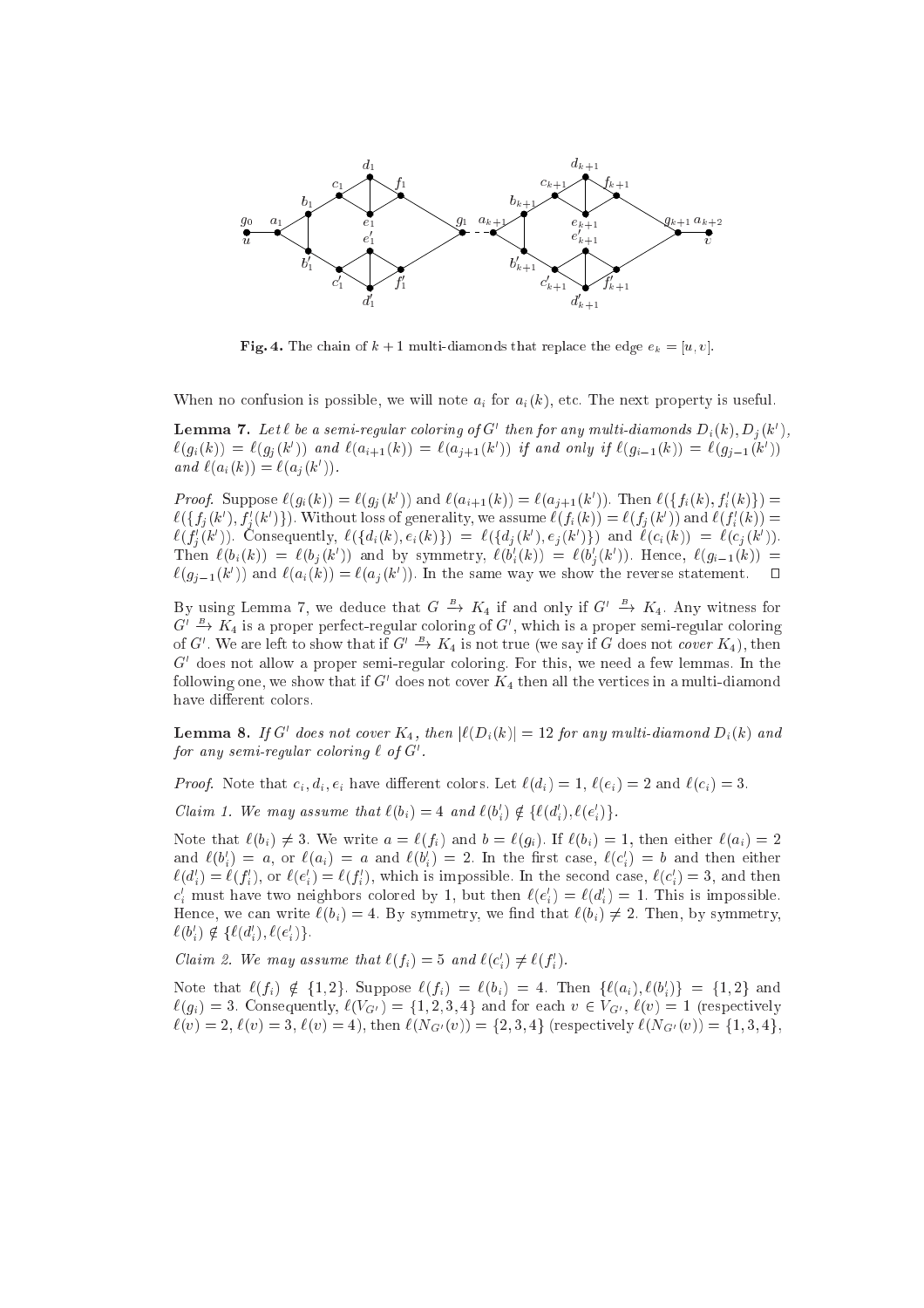

**Fig. 4.** The chain of  $k + 1$  multi-diamonds that replace the edge  $e_k = [u, v]$ .

When no confusion is possible, we will note  $a_i$  for  $a_i(k)$ , etc. The next property is useful.

**Lemma 1.** Let  $\iota$  be a semi-regular coloring by G anen for any multi-diamonds  $D_i(\kappa)$ ,  $D_j(\kappa)$ ,  $\ell(g_i(k)) = \ell(g_j(k))$  and  $\ell(a_{i+1}(k)) = \ell(a_{j+1}(k))$  if and only if  $\ell(g_{i-1}(k)) = \ell(g_{j-1}(k))$ and  $\iota(a_i(\kappa)) = \iota(a_i(\kappa))$ .

Proof. Suppose  $\ell(g_i(k)) = \ell(g_j(k))$  and  $\ell(a_{i+1}(k)) = \ell(a_{j+1}(k))$ . Then  $\ell(\{f_i(k), f_i(k)\}) =$  $\ell(\{f_j(k'), f_j(k')\})$ . Without loss of generality, we assume  $\ell(f_i(k)) = \ell(f_j(k'))$  and  $\ell(f_i(k)) = \ell(j)$  $\ell(j_i(k))$ . Consequently,  $\ell(\{a_i(k), e_i(k)\}) = \ell(\{a_j(k), e_j(k)\})$  and  $\ell(c_i(k)) = \ell(c_j(k))$ . Then  $\ell(\theta_i(k)) = \ell(\theta_j(k))$  and by symmetry,  $\ell(\theta_i(k)) = \ell(\theta_j(k))$ . Hence,  $\ell(g_{i-1}(k)) =$  $\Box$  $\ell(g_{j-1}(\kappa))$  and  $\ell(a_i(\kappa)) = \ell(a_j(\kappa))$ . In the same way we show the reverse statement.  $\Box$ 

By using Lemma 7, we deduce that  $G \to K_4$  if and only if  $G' \to K_4$ . Any witness for  $G' \to K_4$  is a proper perfect-regular coloring of  $G'$ , which is a proper semi-regular coloring of G<sup>o</sup>. We are left to show that if  $G' \rightarrow K_4$  is not true (we say if G does not *cover*  $K_4$ ), then G does not allow a proper semi-regular coloring. For this, we need a few lemmas. In the following one, we show that if  $G$  -does not cover  $K_4$  then all the vertices in a multi-diamond have different colors.

**Lemma 8.** If G abes not cover  $K_{4}$ , then  $|\ell(D_i(k))| = 12$  for any multi-diamond  $D_i(k)$  and for any semi-requiar coloring  $\iota$  of  $\sigma$  .

 $\alpha$  ; discussed that  $\alpha$  is that  $\alpha$  is that  $\alpha$  and  $\alpha$  and  $\alpha$  and  $\alpha$  and  $\alpha$  and  $\alpha$  and  $\alpha$  and  $\alpha$  and  $\alpha$  and  $\alpha$  and  $\alpha$  and  $\alpha$  and  $\alpha$  and  $\alpha$  and  $\alpha$  and  $\alpha$  and  $\alpha$  and  $\alpha$  and  $\alpha$  and  $\$ 

Claim 1. We may assume that  $\epsilon(v_i) = 4$  and  $\epsilon(v_i) \notin \{ \epsilon(u_i), \epsilon(e_i) \}.$ 

Note that  $\ell(b_i) \neq 3$ . We write  $a = \ell(f_i)$  and  $b = \ell(g_i)$ . If  $\ell(b_i) = 1$ , then either  $\ell(a_i) = 2$ and  $\ell(\theta_i) = a$ , or  $\ell(a_i) = a$  and  $\ell(\theta_i) = 2$ . In the first case,  $\ell(c_i) = 0$  and then either  $\ell(a_i) = \ell(f_i)$ , or  $\ell(e_i) = \ell(f_i)$ , which is impossible. In the second case,  $\ell(c_i) = \delta$ , and then  $c_i$  must have two neignbors colored by 1, but then  $\ell(e_i) = \ell(a_i) = 1$ . This is impossible. Hence, we can write  $\ell(b_i) = 4$ . By symmetry, we find that  $\ell(b_i) \neq 2$ . Then, by symmetry,  $\ell(\theta_i) \notin \{\ell(\theta_i), \ell(\theta_i)\}.$ 

Claim 2. We may assume that  $\ell(j_i) = 5$  and  $\ell(c_i) \neq \ell(j_i)$ .

Note that  $\ell(f_i) \notin \{1, 2\}$ . Suppose  $\ell(f_i) = \ell(b_i) = 4$ . Then  $\{\ell(a_i), \ell(b_i)\} = \{1, 2\}$  and  $\ell(g_i) = 3$ . Consequently,  $\ell(V_{G'}) = \{1, 2, 3, 4\}$  and for each  $v \in V_{G'}$ ,  $\ell(v) = 1$  (respectively  $\ell(v) = 2, \ell(v) = 3, \ell(v) = 4$ , then  $\ell(N_{G'}(v)) = \{2, 3, 4\}$  (respectively  $\ell(N_{G'}(v)) = \{1, 3, 4\}$ ,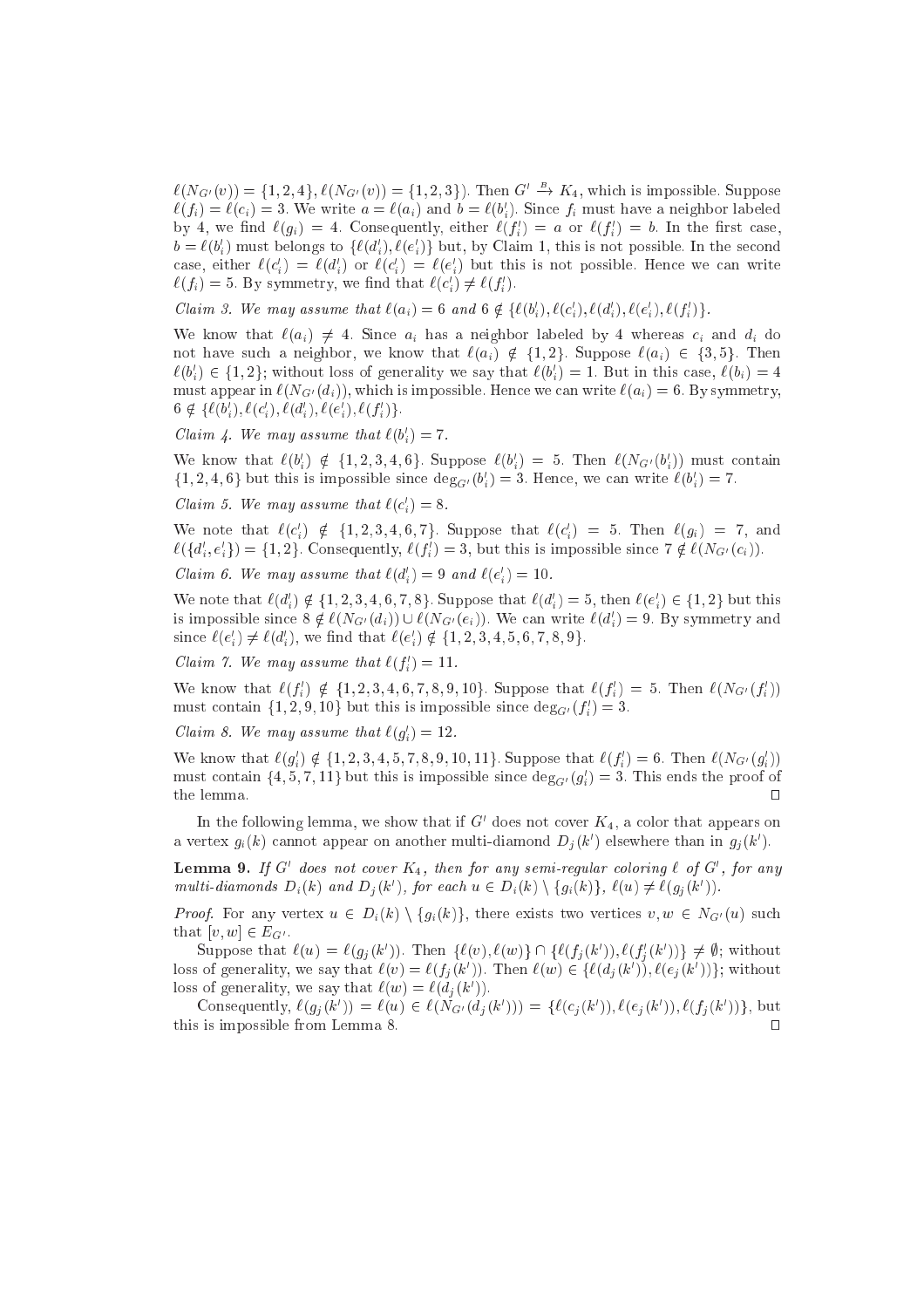$\ell(N_{G'}(v)) = \{1, 2, 4\}, \ell(N_{G'}(v)) = \{1, 2, 3\}$ . Then  $G' \rightarrow K_4$ , which is impossible. Suppose  $\ell(j_i) = \ell(c_i) =$  3. We write  $a = \ell(a_i)$  and  $b = \ell(b_i)$ . Since  $j_i$  must have a neighbor labeled by 4, we find  $\ell(g_i) = 4$ . Consequently, either  $\ell(f_i) = a$  or  $\ell(f_i) = b$ . In the first case,  $v = \ell(v_i)$  must belongs to  $\{\ell(u_i), \ell(e_i)\}$  but, by Claim 1, this is not possible. In the second case, either  $\iota(c_i) = \iota(a_i)$  or  $\iota(c_i) = \iota(e_i)$  but this is not possible. Hence we can write  $\ell(j_i) = 0$ . By symmetry, we mid that  $\ell(c_i) \neq \ell(j_i)$ .

Claim 5. We may assume that  $\epsilon(a_i) = \mathbf{0}$  and  $\mathbf{0} \notin \{\epsilon(a_i), \epsilon(c_i), \epsilon(a_i), \epsilon(e_i), \epsilon(j_i)\}$ .

We know that  $\ell(a_i) \neq 4$ . Since  $a_i$  has a neighbor labeled by 4 whereas  $c_i$  and  $d_i$  do not have such a neighbor, we know that  $\ell(a_i) \notin \{1,2\}$ . Suppose  $\ell(a_i) \in \{3,5\}$ . Then  $\ell(v_i) \in \{1,2\}$ ; without loss of generality we say that  $\ell(v_i) = 1$ . But in this case,  $\ell(v_i) = 4$ must appear in  $\ell(N_{G'}(d_i))$ , which is impossible. Hence we can write  $\ell(a_i) = 6$ . By symmetry,  $0 \notin \{\ell(\theta_i), \ell(\mathcal{C}_i), \ell(\theta_i), \ell(\mathcal{C}_i), \ell(\mathcal{J}_i)\}.$ 

Claim 4. We may assume that  $\ell(v_i) = \ell$ .

We know that  $\ell(\theta_i) \notin \{1, 2, 3, 4, 6\}$ . Suppose  $\ell(\theta_i) = 5$ . Then  $\ell(N_{G'}(\theta_i))$  must contain  $\{1, 2, 4, 6\}$  but this is impossible since  $\deg_{G'}(b_i) = 3$ . Hence, we can write  $\ell(b_i) = l$ .

Claim 5. We may assume that  $\iota(c_i) = \infty$ .

We note that  $\ell(c_i) \notin \{1, 2, 3, 4, 0, 7\}$ . Suppose that  $\ell(c_i) = 0$ . Then  $\ell(g_i) = 7$ , and  $\ell(\{u_i, e_i\}) = \{1, 2\}$ . Consequently,  $\ell(f_i) = \delta$ , but this is impossible since  $\ell \notin \ell(NG^{\ell}(c_i))$ .

Claim 6. We may assume that  $\ell(a_i) = 9$  and  $\ell(e_i) = 10$ .

We note that  $\ell(a_i) \notin \{1, 2, 3, 4, 0, 7, 8\}$ . Suppose that  $\ell(a_i) \equiv 3$ , then  $\ell(e_i) \in \{1, 2\}$  but this is impossible since  $S \notin \ell(N_{G'}(a_i)) \cup \ell(N_{G'}(e_i))$ . We can write  $\ell(a_i) = 9$ . By symmetry and since  $\ell(e_i) \neq \ell(a_i)$ , we find that  $\ell(e_i) \notin \{1, 2, 3, 4, 5, 0, 7, 8, 9\}$ .

Claim 1. We may assume that  $\ell(f_i) = 11$ .

We know that  $\ell(f_i) \notin \{1, 2, 3, 4, 6, 7, 8, 9, 10\}$ . Suppose that  $\ell(f_i) = 5$ . Then  $\ell(N_{G'}(f_i))$ must contain  $\{1, 2, 9, 10\}$  but this is impossible since  $\deg_{G'}(J_i) = 3$ .

Claim 8. We may assume that  $\ell(g_i) = 12$ .

We know that  $\ell(g_i) \notin \{1, 2, 3, 4, 5, 7, 8, 9, 10, 11\}$ . Suppose that  $\ell(f_i) = 0$ . Then  $\ell(N_{G'}(g_i))$ must contain  $\{4, 5, 7, 11\}$  but this is impossible since  $\text{deg}_G(\mathcal{G}_i) = 3$ . This ends the proof of  $\Box$ 

In the following lemma, we show that if  $G$  does not cover  $K_{4},$  a color that appears on a vertex  $g_i(\kappa)$  cannot appear on another multi-diamond  $D_i(\kappa)$  elsewhere than in  $g_j(\kappa)$ .

**Lemma 9.** If G abes not cover  $K_4$ , then for any semi-regular coloring  $\epsilon$  of G, for any multi-diamonds  $D_i(\kappa)$  and  $D_j(\kappa)$ , for each  $u \in D_i(\kappa) \setminus \{g_i(\kappa)\}\,$ ,  $\ell(u) \neq \ell(g_j(\kappa))$ .

 $P(SQ)$  . For any vertex  $\alpha \in P_N(\alpha)$  ,  $\beta_N(\alpha)$  is there exists two vertices  $\beta$ ,  $\alpha \in P(Q_N)$  such that  $[v, w] \in E_{G'}$ .

Suppose that  $\ell(u) = \ell(g_j(k))$ . Then  $\{\ell(v), \ell(w)\}\sqcup \{\ell(f_j(k))\}, \ell(f_j(k))\} \neq \emptyset$ ; without loss of generality, we say that  $\ell(v) = \ell(f_i(k))$ . Then  $\ell(w) \in \{ \ell(a_i(k)) , \ell(e_i(k)) \}$ ; without loss of generality, we say that  $\ell(w) = \ell(a_i(k))$ .

Consequently,  $\ell(g_i(k)) = \ell(u) \in \ell(N_{G'}(a_i(k))) = \{\ell(\mathcal{C}_i(k))\}, \ell(\mathcal{C}_i(k)), \ell(f_i(k))\}$ , but this is impossible from Lemma 8.  $\Box$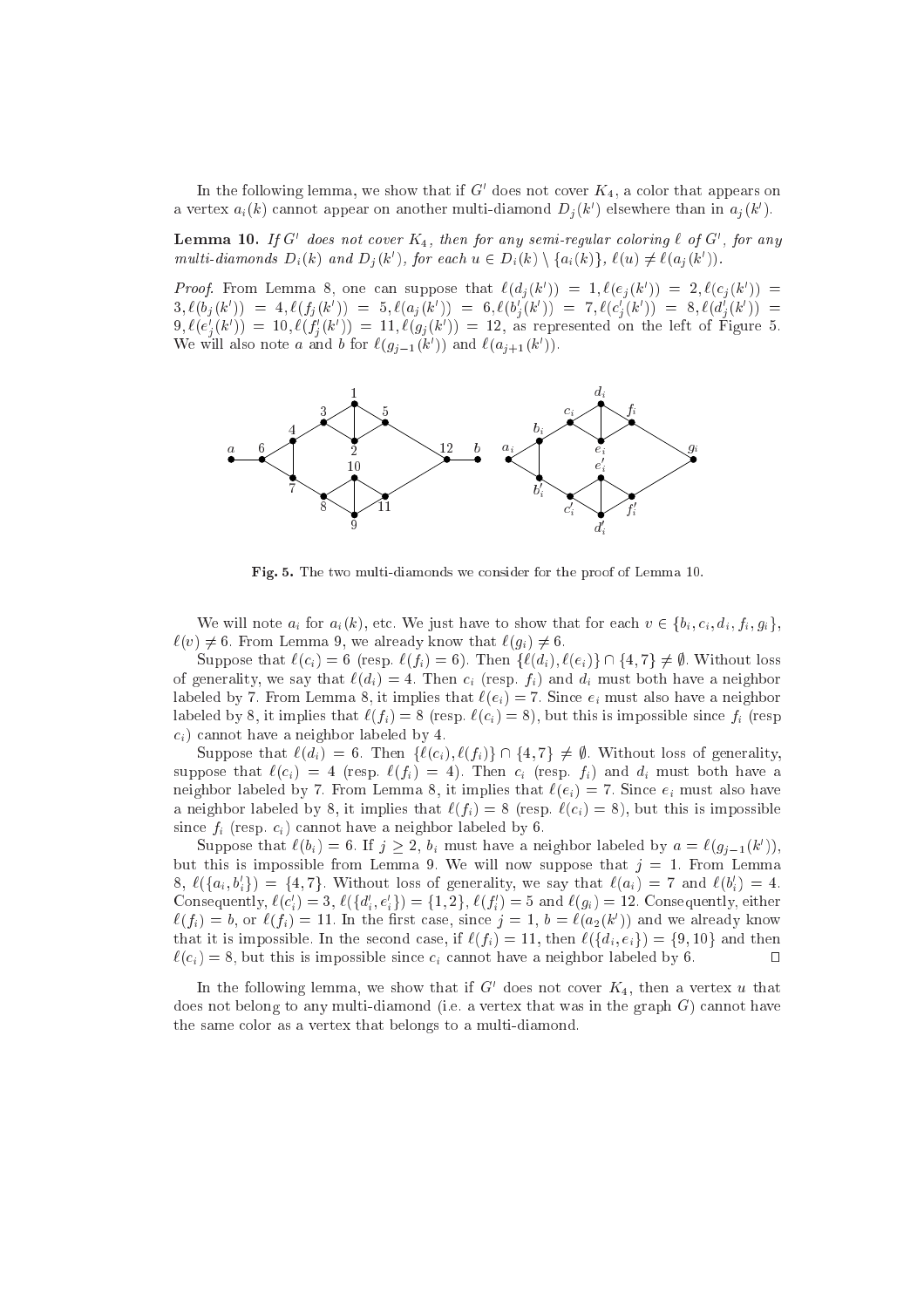In the following lemma, we show that if  $G$  does not cover  $K_{4},$  a color that appears on a vertex  $a_i(\kappa)$  cannot appear on another multi-diamond  $D_i(\kappa)$  eisewhere than in  $a_i(\kappa)$ .

**Lemma 10.** If G aves not cover  $K_4$ , then for any semi-regular coloring  $\iota$  of G , for any multi-diamonds  $D_i(\kappa)$  and  $D_j(\kappa)$ , for each  $u \in D_i(\kappa) \setminus \{a_i(\kappa)\}\,$ ,  $\ell(u) \neq \ell(a_j(\kappa))$ .

*Proof.* From Lemma 8, one can suppose that  $\ell(u_i(k)) = 1, \ell(e_i(k)) = 2, \ell(c_i(k))$  $\sqrt{ }$  $\delta(t, b) = 0, \ell(\theta_j(k)) = 0, \ell(\theta_j(k)) = 0, \ell(\theta_j(k)) = 0, \ell(c_j(k)) = 0, \ell(\theta_j(k)) = 0$  $\mathcal{O}(\mathcal{C}_i(k)) = 10, \ell(f_i(k)) = 11, \ell(g_j(k)) = 12$ , as represented on the left of Figure 5. We will also note a and b for  $\ell(g_{j-1}(k))$  and  $\ell(a_{j+1}(k))$ .



Fig. 5. The two multi-diamonds we onsider for the proof of Lemma 10.

We will note  $a_i$  for  $a_i(k)$ , etc. We just have to show that for each  $v \in \{b_i, c_i, d_i, f_i, g_i\}$ ,  $\ell(v) \neq 6$ . From Lemma 9, we already know that  $\ell(g_i) \neq 6$ .

Suppose that  $\ell(c_i) = 6$  (resp.  $\ell(f_i) = 6$ ). Then  $\{\ell(d_i), \ell(e_i)\} \cap \{4, 7\} \neq \emptyset$ . Without loss of generality, we say that  $\ell(d_i) = 4$ . Then  $c_i$  (resp.  $f_i$ ) and  $d_i$  must both have a neighbor labeled by 7. From Lemma 8, it implies that  $\ell(e_i) = 7$ . Since  $e_i$  must also have a neighbor labeled by 8, it implies that  $\ell(f_i) = 8$  (resp.  $\ell(c_i) = 8$ ), but this is impossible since  $f_i$  (resp  $c_i$ ) cannot have a neighbor labeled by 4.

Suppose that  $\ell(d_i) = 6$ . Then  $\{\ell(c_i), \ell(f_i)\} \cap \{4, 7\} \neq \emptyset$ . Without loss of generality, suppose that  $\ell(c_i) = 4$  (resp.  $\ell(f_i) = 4$ ). Then  $c_i$  (resp.  $f_i$ ) and  $d_i$  must both have a neighbor labeled by 7. From Lemma 8, it implies that  $\ell(e_i) = 7$ . Since  $e_i$  must also have a neighbor labeled by 8, it implies that  $\ell(f_i) = 8$  (resp.  $\ell(c_i) = 8$ ), but this is impossible since  $f_i$  (resp.  $c_i$ ) cannot have a neighbor labeled by 6.

Suppose that  $\ell(\theta_i) = 0$ . If  $j \geq 2$ ,  $\theta_i$  must have a neighbor labeled by  $a = \ell(g_{i-1}(k))$ , but this is impossible from Lemma 9. We will now suppose that  $j = 1$ . From Lemma  $\delta, \ell(\{a_i, o_i\}) = \{4, i\}.$  Without loss of generality, we say that  $\ell(a_i) = i$  and  $\ell(o_i) = 4.$ Consequently,  $\ell(c_i) = \delta, \ell(\{a_i, e_i\}) = \{1, 2\}, \ell(f_i) = \delta$  and  $\ell(g_i) = \mathbf{12}$ . Consequently, either  $\ell(f_i) = 0$ , or  $\ell(f_i) = 11$ . In the first case, since  $j = 1, 0 = \ell(a_2(k))$  and we already know that it is impossible. In the second case, if  $\ell(f_i) = 11$ , then  $\ell(\{d_i, e_i\}) = \{9, 10\}$  and then  $\ell(c_i) = 8$ , but this is impossible since  $c_i$  cannot have a neighbor labeled by 6.

In the following lemma, we show that if  $G$  does not cover  $K_{4}$ , then a vertex  $u$  that does not belong to any multi-diamond (i.e. a vertex that was in the graph  $G$ ) cannot have the same olor as a vertex that belongs to a multi-diamond.